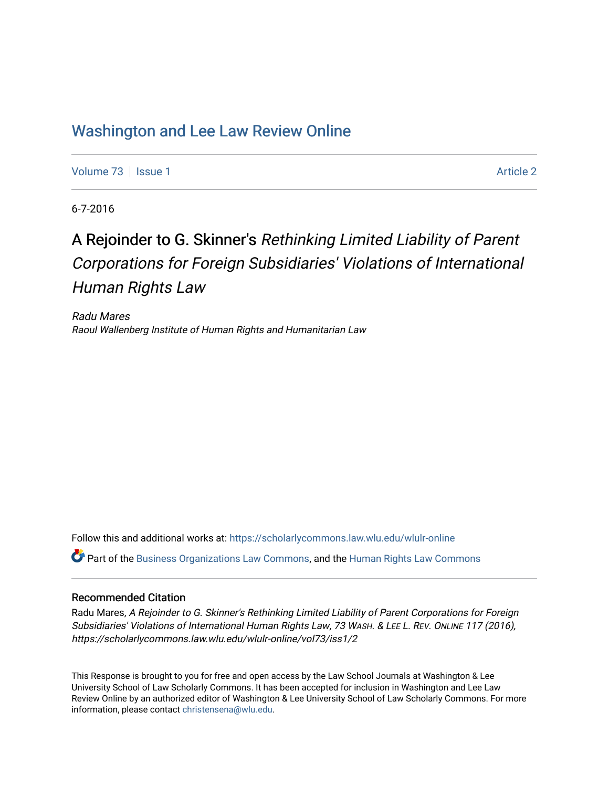# [Washington and Lee Law Review Online](https://scholarlycommons.law.wlu.edu/wlulr-online)

[Volume 73](https://scholarlycommons.law.wlu.edu/wlulr-online/vol73) | [Issue 1](https://scholarlycommons.law.wlu.edu/wlulr-online/vol73/iss1) [Article 2](https://scholarlycommons.law.wlu.edu/wlulr-online/vol73/iss1/2) Article 2 Article 2 Article 2 Article 2 Article 2 Article 2 Article 2 Article 2

6-7-2016

# A Rejoinder to G. Skinner's Rethinking Limited Liability of Parent Corporations for Foreign Subsidiaries' Violations of International Human Rights Law

Radu Mares Raoul Wallenberg Institute of Human Rights and Humanitarian Law

Follow this and additional works at: [https://scholarlycommons.law.wlu.edu/wlulr-online](https://scholarlycommons.law.wlu.edu/wlulr-online?utm_source=scholarlycommons.law.wlu.edu%2Fwlulr-online%2Fvol73%2Fiss1%2F2&utm_medium=PDF&utm_campaign=PDFCoverPages)  Part of the [Business Organizations Law Commons](http://network.bepress.com/hgg/discipline/900?utm_source=scholarlycommons.law.wlu.edu%2Fwlulr-online%2Fvol73%2Fiss1%2F2&utm_medium=PDF&utm_campaign=PDFCoverPages), and the [Human Rights Law Commons](http://network.bepress.com/hgg/discipline/847?utm_source=scholarlycommons.law.wlu.edu%2Fwlulr-online%2Fvol73%2Fiss1%2F2&utm_medium=PDF&utm_campaign=PDFCoverPages) 

#### Recommended Citation

Radu Mares, A Rejoinder to G. Skinner's Rethinking Limited Liability of Parent Corporations for Foreign Subsidiaries' Violations of International Human Rights Law, 73 WASH. & LEE L. REV. ONLINE 117 (2016), https://scholarlycommons.law.wlu.edu/wlulr-online/vol73/iss1/2

This Response is brought to you for free and open access by the Law School Journals at Washington & Lee University School of Law Scholarly Commons. It has been accepted for inclusion in Washington and Lee Law Review Online by an authorized editor of Washington & Lee University School of Law Scholarly Commons. For more information, please contact [christensena@wlu.edu](mailto:christensena@wlu.edu).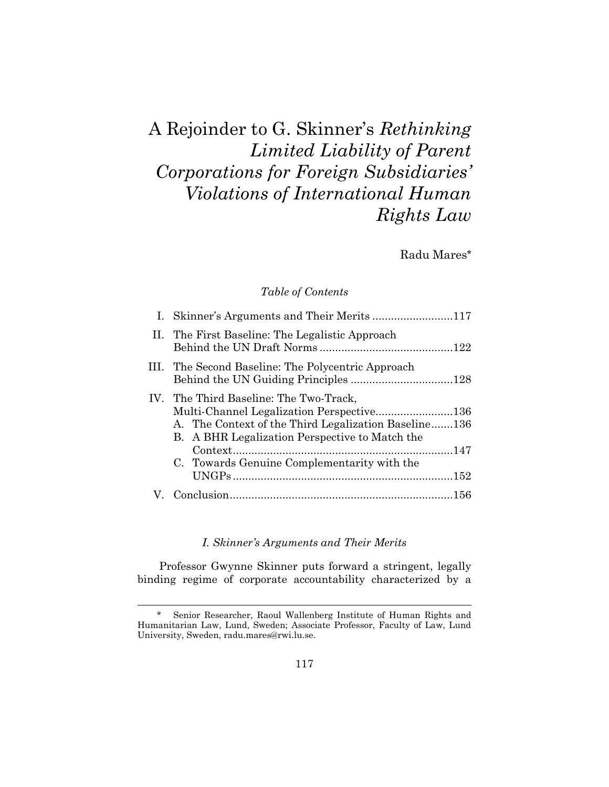A Rejoinder to G. Skinner's *Rethinking Limited Liability of Parent Corporations for Foreign Subsidiaries' Violations of International Human Rights Law*

Radu Mares**\***

# *Table of Contents*

| I. Skinner's Arguments and Their Merits 117                                                                                                                                                                                                  |  |
|----------------------------------------------------------------------------------------------------------------------------------------------------------------------------------------------------------------------------------------------|--|
| II. The First Baseline: The Legalistic Approach                                                                                                                                                                                              |  |
| III. The Second Baseline: The Polycentric Approach                                                                                                                                                                                           |  |
| IV. The Third Baseline: The Two-Track,<br>Multi-Channel Legalization Perspective136<br>A. The Context of the Third Legalization Baseline136<br>B. A BHR Legalization Perspective to Match the<br>C. Towards Genuine Complementarity with the |  |
|                                                                                                                                                                                                                                              |  |

# *I. Skinner's Arguments and Their Merits*

Professor Gwynne Skinner puts forward a stringent, legally binding regime of corporate accountability characterized by a

<sup>\*</sup> Senior Researcher, Raoul Wallenberg Institute of Human Rights and Humanitarian Law, Lund, Sweden; Associate Professor, Faculty of Law, Lund University, Sweden, radu.mares@rwi.lu.se.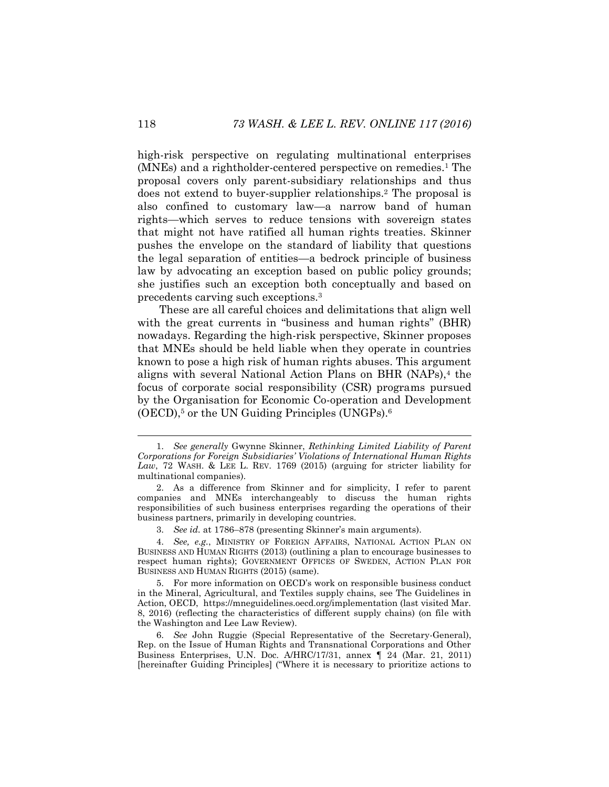<span id="page-2-1"></span>high-risk perspective on regulating multinational enterprises (MNEs) and a rightholder-centered perspective on remedies.<sup>1</sup> The proposal covers only parent-subsidiary relationships and thus does not extend to buyer-supplier relationships.<sup>2</sup> The proposal is also confined to customary law—a narrow band of human rights—which serves to reduce tensions with sovereign states that might not have ratified all human rights treaties. Skinner pushes the envelope on the standard of liability that questions the legal separation of entities—a bedrock principle of business law by advocating an exception based on public policy grounds; she justifies such an exception both conceptually and based on precedents carving such exceptions.<sup>3</sup>

These are all careful choices and delimitations that align well with the great currents in "business and human rights" (BHR) nowadays. Regarding the high-risk perspective, Skinner proposes that MNEs should be held liable when they operate in countries known to pose a high risk of human rights abuses. This argument aligns with several National Action Plans on BHR (NAPs),<sup>4</sup> the focus of corporate social responsibility (CSR) programs pursued by the Organisation for Economic Co-operation and Development  $(OECD)$ ,<sup>5</sup> or the UN Guiding Principles (UNGPs).<sup>6</sup>

3. *See id.* at 1786–878 (presenting Skinner's main arguments).

4. *See, e.g.*, MINISTRY OF FOREIGN AFFAIRS, NATIONAL ACTION PLAN ON BUSINESS AND HUMAN RIGHTS (2013) (outlining a plan to encourage businesses to respect human rights); GOVERNMENT OFFICES OF SWEDEN, ACTION PLAN FOR BUSINESS AND HUMAN RIGHTS (2015) (same).

6. *See* John Ruggie (Special Representative of the Secretary-General), Rep. on the Issue of Human Rights and Transnational Corporations and Other Business Enterprises, U.N. Doc. A/HRC/17/31, annex ¶ 24 (Mar. 21, 2011) [hereinafter Guiding Principles] ("Where it is necessary to prioritize actions to

<span id="page-2-0"></span><sup>1.</sup> *See generally* Gwynne Skinner, *Rethinking Limited Liability of Parent Corporations for Foreign Subsidiaries' Violations of International Human Rights Law*, 72 WASH. & LEE L. REV. 1769 (2015) (arguing for stricter liability for multinational companies).

<sup>2.</sup> As a difference from Skinner and for simplicity, I refer to parent companies and MNEs interchangeably to discuss the human rights responsibilities of such business enterprises regarding the operations of their business partners, primarily in developing countries.

<sup>5.</sup> For more information on OECD's work on responsible business conduct in the Mineral, Agricultural, and Textiles supply chains, see The Guidelines in Action, OECD, https://mneguidelines.oecd.org/implementation (last visited Mar. 8, 2016) (reflecting the characteristics of different supply chains) (on file with the Washington and Lee Law Review).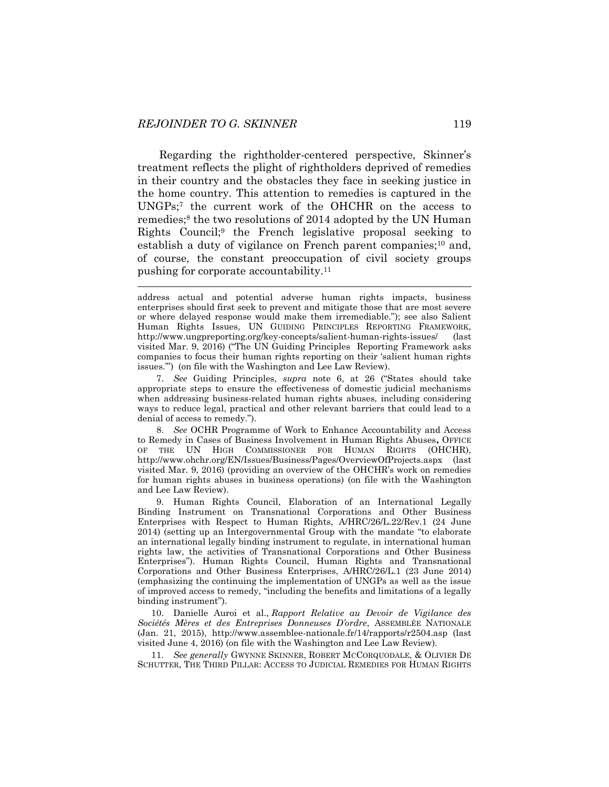<span id="page-3-1"></span><span id="page-3-0"></span>l

Regarding the rightholder-centered perspective, Skinner's treatment reflects the plight of rightholders deprived of remedies in their country and the obstacles they face in seeking justice in the home country. This attention to remedies is captured in the UNGPs;<sup>7</sup> the current work of the OHCHR on the access to remedies;<sup>8</sup> the two resolutions of 2014 adopted by the UN Human Rights Council;<sup>9</sup> the French legislative proposal seeking to establish a duty of vigilance on French parent companies;<sup>10</sup> and, of course, the constant preoccupation of civil society groups pushing for corporate accountability.<sup>11</sup>

7. *See* Guiding Principles, *supra* note [6](#page-2-0), at 26 ("States should take appropriate steps to ensure the effectiveness of domestic judicial mechanisms when addressing business-related human rights abuses, including considering ways to reduce legal, practical and other relevant barriers that could lead to a denial of access to remedy.").

8. *See* OCHR Programme of Work to Enhance Accountability and Access to Remedy in Cases of Business Involvement in Human Rights Abuses**,** OFFICE OF THE UN HIGH COMMISSIONER FOR HUMAN RIGHTS (OHCHR), http://www.ohchr.org/EN/Issues/Business/Pages/OverviewOfProjects.aspx (last visited Mar. 9, 2016) (providing an overview of the OHCHR's work on remedies for human rights abuses in business operations) (on file with the Washington and Lee Law Review).

9. Human Rights Council, Elaboration of an International Legally Binding Instrument on Transnational Corporations and Other Business Enterprises with Respect to Human Rights, A/HRC/26/L.22/Rev.1 (24 June 2014) (setting up an Intergovernmental Group with the mandate "to elaborate an international legally binding instrument to regulate, in international human rights law, the activities of Transnational Corporations and Other Business Enterprises"). Human Rights Council, Human Rights and Transnational Corporations and Other Business Enterprises, A/HRC/26/L.1 (23 June 2014) (emphasizing the continuing the implementation of UNGPs as well as the issue of improved access to remedy, "including the benefits and limitations of a legally binding instrument").

10. Danielle Auroi et al., *Rapport Relative au Devoir de Vigilance des Sociétés Mères et des Entreprises Donneuses D'ordre*, ASSEMBLÉE NATIONALE (Jan. 21, 2015), http://www.assemblee-nationale.fr/14/rapports/r2504.asp (last visited June 4, 2016) (on file with the Washington and Lee Law Review).

11. *See generally* GWYNNE SKINNER, ROBERT MCCORQUODALE, & OLIVIER DE SCHUTTER, THE THIRD PILLAR: ACCESS TO JUDICIAL REMEDIES FOR HUMAN RIGHTS

address actual and potential adverse human rights impacts, business enterprises should first seek to prevent and mitigate those that are most severe or where delayed response would make them irremediable."); see also Salient Human Rights Issues, UN GUIDING PRINCIPLES REPORTING FRAMEWORK, http://www.ungpreporting.org/key-concepts/salient-human-rights-issues/ (last visited Mar. 9, 2016) ("The UN Guiding Principles Reporting Framework asks companies to focus their human rights reporting on their 'salient human rights issues.'") (on file with the Washington and Lee Law Review).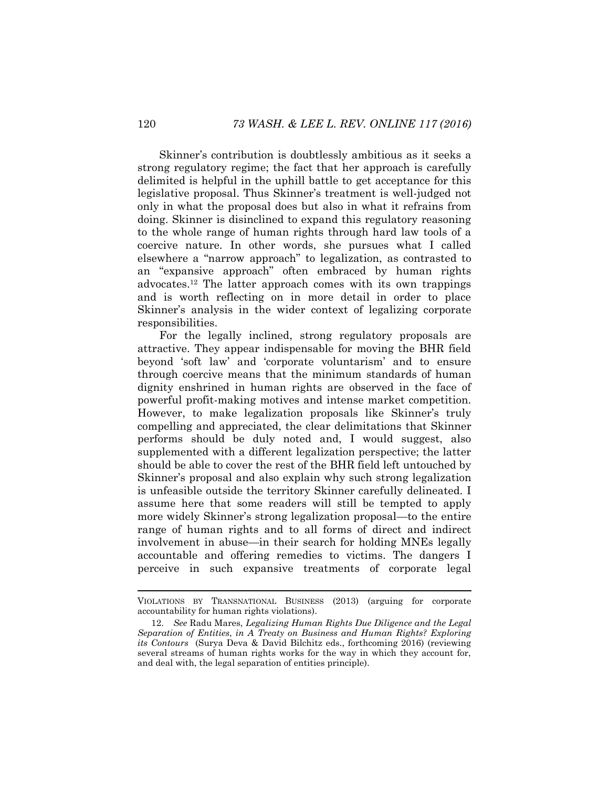Skinner's contribution is doubtlessly ambitious as it seeks a strong regulatory regime; the fact that her approach is carefully delimited is helpful in the uphill battle to get acceptance for this legislative proposal. Thus Skinner's treatment is well-judged not only in what the proposal does but also in what it refrains from doing. Skinner is disinclined to expand this regulatory reasoning to the whole range of human rights through hard law tools of a coercive nature. In other words, she pursues what I called elsewhere a "narrow approach" to legalization, as contrasted to an "expansive approach" often embraced by human rights advocates.<sup>12</sup> The latter approach comes with its own trappings and is worth reflecting on in more detail in order to place Skinner's analysis in the wider context of legalizing corporate responsibilities.

<span id="page-4-0"></span>For the legally inclined, strong regulatory proposals are attractive. They appear indispensable for moving the BHR field beyond 'soft law' and 'corporate voluntarism' and to ensure through coercive means that the minimum standards of human dignity enshrined in human rights are observed in the face of powerful profit-making motives and intense market competition. However, to make legalization proposals like Skinner's truly compelling and appreciated, the clear delimitations that Skinner performs should be duly noted and, I would suggest, also supplemented with a different legalization perspective; the latter should be able to cover the rest of the BHR field left untouched by Skinner's proposal and also explain why such strong legalization is unfeasible outside the territory Skinner carefully delineated. I assume here that some readers will still be tempted to apply more widely Skinner's strong legalization proposal—to the entire range of human rights and to all forms of direct and indirect involvement in abuse—in their search for holding MNEs legally accountable and offering remedies to victims. The dangers I perceive in such expansive treatments of corporate legal

VIOLATIONS BY TRANSNATIONAL BUSINESS (2013) (arguing for corporate accountability for human rights violations).

<sup>12.</sup> *See* Radu Mares, *Legalizing Human Rights Due Diligence and the Legal Separation of Entities*, *in A Treaty on Business and Human Rights? Exploring its Contours* (Surya Deva & David Bilchitz eds., forthcoming 2016) (reviewing several streams of human rights works for the way in which they account for, and deal with, the legal separation of entities principle).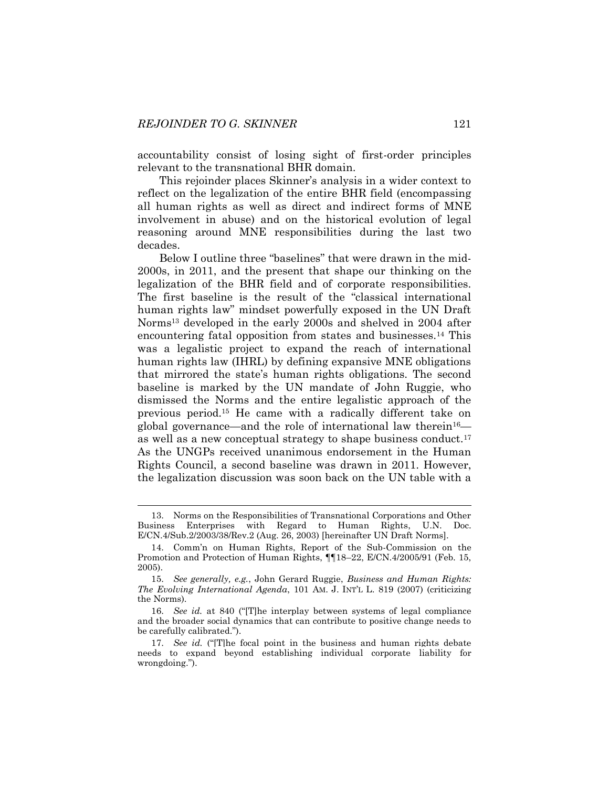<span id="page-5-1"></span>

accountability consist of losing sight of first-order principles relevant to the transnational BHR domain.

This rejoinder places Skinner's analysis in a wider context to reflect on the legalization of the entire BHR field (encompassing all human rights as well as direct and indirect forms of MNE involvement in abuse) and on the historical evolution of legal reasoning around MNE responsibilities during the last two decades.

<span id="page-5-2"></span><span id="page-5-0"></span>Below I outline three "baselines" that were drawn in the mid-2000s, in 2011, and the present that shape our thinking on the legalization of the BHR field and of corporate responsibilities. The first baseline is the result of the "classical international human rights law" mindset powerfully exposed in the UN Draft Norms<sup>13</sup> developed in the early 2000s and shelved in 2004 after encountering fatal opposition from states and businesses.<sup>14</sup> This was a legalistic project to expand the reach of international human rights law (IHRL) by defining expansive MNE obligations that mirrored the state's human rights obligations. The second baseline is marked by the UN mandate of John Ruggie, who dismissed the Norms and the entire legalistic approach of the previous period.<sup>15</sup> He came with a radically different take on global governance—and the role of international law therein<sup>16</sup> as well as a new conceptual strategy to shape business conduct.<sup>17</sup> As the UNGPs received unanimous endorsement in the Human Rights Council, a second baseline was drawn in 2011. However, the legalization discussion was soon back on the UN table with a

<sup>13.</sup> Norms on the Responsibilities of Transnational Corporations and Other Business Enterprises with Regard to Human Rights, U.N. Doc. E/CN.4/Sub.2/2003/38/Rev.2 (Aug. 26, 2003) [hereinafter UN Draft Norms].

<sup>14.</sup> Comm'n on Human Rights, Report of the Sub-Commission on the Promotion and Protection of Human Rights, ¶¶18–22, E/CN.4/2005/91 (Feb. 15, 2005).

<sup>15.</sup> *See generally, e.g.*, John Gerard Ruggie, *Business and Human Rights: The Evolving International Agenda*, 101 AM. J. INT'L L. 819 (2007) (criticizing the Norms).

<sup>16.</sup> *See id.* at 840 ("[T]he interplay between systems of legal compliance and the broader social dynamics that can contribute to positive change needs to be carefully calibrated.").

<sup>17.</sup> *See id.* ("[T]he focal point in the business and human rights debate needs to expand beyond establishing individual corporate liability for wrongdoing.").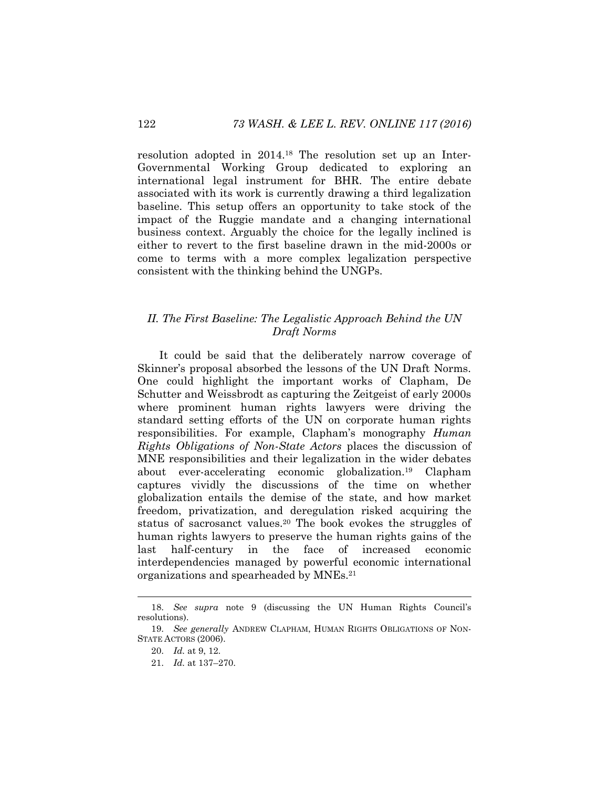resolution adopted in 2014.<sup>18</sup> The resolution set up an Inter-Governmental Working Group dedicated to exploring an international legal instrument for BHR. The entire debate associated with its work is currently drawing a third legalization baseline. This setup offers an opportunity to take stock of the impact of the Ruggie mandate and a changing international business context. Arguably the choice for the legally inclined is either to revert to the first baseline drawn in the mid-2000s or come to terms with a more complex legalization perspective consistent with the thinking behind the UNGPs.

# *II. The First Baseline: The Legalistic Approach Behind the UN Draft Norms*

<span id="page-6-0"></span>It could be said that the deliberately narrow coverage of Skinner's proposal absorbed the lessons of the UN Draft Norms. One could highlight the important works of Clapham, De Schutter and Weissbrodt as capturing the Zeitgeist of early 2000s where prominent human rights lawyers were driving the standard setting efforts of the UN on corporate human rights responsibilities. For example, Clapham's monography *Human Rights Obligations of Non-State Actors* places the discussion of MNE responsibilities and their legalization in the wider debates about ever-accelerating economic globalization.<sup>19</sup> Clapham captures vividly the discussions of the time on whether globalization entails the demise of the state, and how market freedom, privatization, and deregulation risked acquiring the status of sacrosanct values.<sup>20</sup> The book evokes the struggles of human rights lawyers to preserve the human rights gains of the last half-century in the face of increased economic interdependencies managed by powerful economic international organizations and spearheaded by MNEs.<sup>21</sup>

<sup>18.</sup> *See supra* note [9](#page-3-0) (discussing the UN Human Rights Council's resolutions).

<sup>19.</sup> *See generally* ANDREW CLAPHAM, HUMAN RIGHTS OBLIGATIONS OF NON-STATE ACTORS (2006).

<sup>20.</sup> *Id.* at 9, 12.

<sup>21.</sup> *Id.* at 137–270.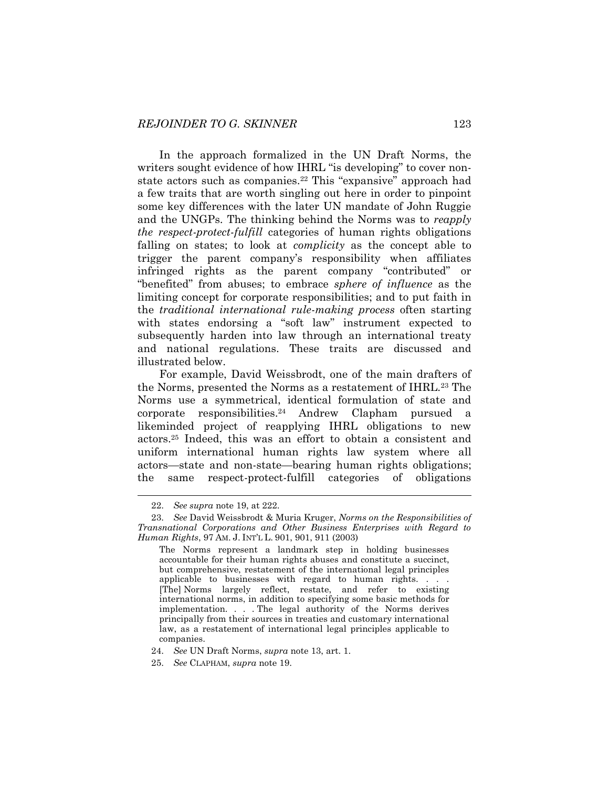In the approach formalized in the UN Draft Norms, the writers sought evidence of how IHRL "is developing" to cover nonstate actors such as companies.<sup>22</sup> This "expansive" approach had a few traits that are worth singling out here in order to pinpoint some key differences with the later UN mandate of John Ruggie and the UNGPs. The thinking behind the Norms was to *reapply the respect-protect-fulfill* categories of human rights obligations falling on states; to look at *complicity* as the concept able to trigger the parent company's responsibility when affiliates infringed rights as the parent company "contributed" or "benefited" from abuses; to embrace *sphere of influence* as the limiting concept for corporate responsibilities; and to put faith in the *traditional international rule-making process* often starting with states endorsing a "soft law" instrument expected to subsequently harden into law through an international treaty and national regulations. These traits are discussed and illustrated below.

For example, David Weissbrodt, one of the main drafters of the Norms, presented the Norms as a restatement of IHRL.<sup>23</sup> The Norms use a symmetrical, identical formulation of state and corporate responsibilities.<sup>24</sup> Andrew Clapham pursued a likeminded project of reapplying IHRL obligations to new actors.<sup>25</sup> Indeed, this was an effort to obtain a consistent and uniform international human rights law system where all actors—state and non-state—bearing human rights obligations; the same respect-protect-fulfill categories of obligations

<sup>22.</sup> *See supra* not[e 19,](#page-6-0) at 222.

<sup>23.</sup> *See* David Weissbrodt & Muria Kruger, *Norms on the Responsibilities of Transnational Corporations and Other Business Enterprises with Regard to Human Rights*, 97 AM. J. INT'L L. 901, 901, 911 (2003)

The Norms represent a landmark step in holding businesses accountable for their human rights abuses and constitute a succinct, but comprehensive, restatement of the international legal principles applicable to businesses with regard to human rights. . . . [The] Norms largely reflect, restate, and refer to existing international norms, in addition to specifying some basic methods for implementation. . . . The legal authority of the Norms derives principally from their sources in treaties and customary international law, as a restatement of international legal principles applicable to companies.

<sup>24.</sup> *See* UN Draft Norms, *supra* not[e 13,](#page-5-0) art. 1.

<sup>25.</sup> *See* CLAPHAM, *supra* note [19.](#page-6-0)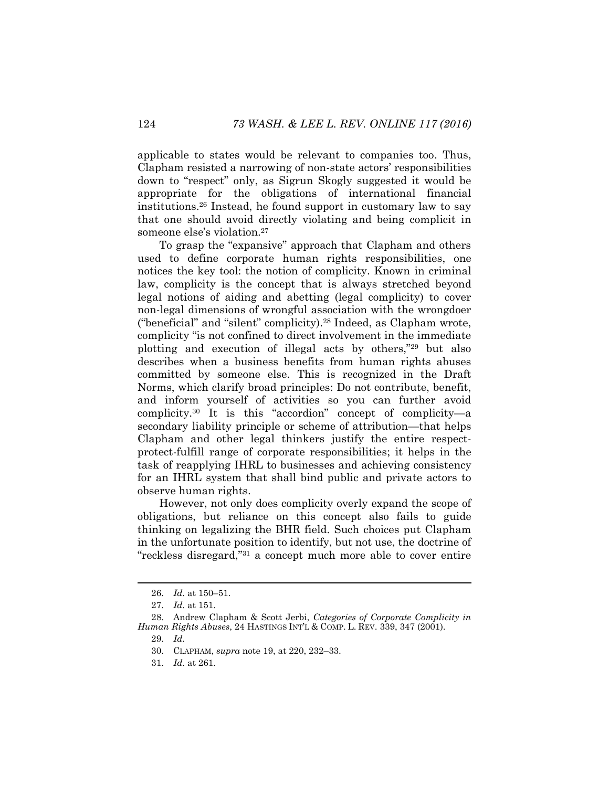applicable to states would be relevant to companies too. Thus, Clapham resisted a narrowing of non-state actors' responsibilities down to "respect" only, as Sigrun Skogly suggested it would be appropriate for the obligations of international financial institutions. <sup>26</sup> Instead, he found support in customary law to say that one should avoid directly violating and being complicit in someone else's violation.<sup>27</sup>

<span id="page-8-0"></span>To grasp the "expansive" approach that Clapham and others used to define corporate human rights responsibilities, one notices the key tool: the notion of complicity. Known in criminal law, complicity is the concept that is always stretched beyond legal notions of aiding and abetting (legal complicity) to cover non-legal dimensions of wrongful association with the wrongdoer ("beneficial" and "silent" complicity).<sup>28</sup> Indeed, as Clapham wrote, complicity "is not confined to direct involvement in the immediate plotting and execution of illegal acts by others,"<sup>29</sup> but also describes when a business benefits from human rights abuses committed by someone else. This is recognized in the Draft Norms, which clarify broad principles: Do not contribute, benefit, and inform yourself of activities so you can further avoid complicity. <sup>30</sup> It is this "accordion" concept of complicity—a secondary liability principle or scheme of attribution—that helps Clapham and other legal thinkers justify the entire respectprotect-fulfill range of corporate responsibilities; it helps in the task of reapplying IHRL to businesses and achieving consistency for an IHRL system that shall bind public and private actors to observe human rights.

However, not only does complicity overly expand the scope of obligations, but reliance on this concept also fails to guide thinking on legalizing the BHR field. Such choices put Clapham in the unfortunate position to identify, but not use, the doctrine of "reckless disregard,"<sup>31</sup> a concept much more able to cover entire

<sup>26.</sup> *Id.* at 150–51.

<sup>27.</sup> *Id.* at 151.

<sup>28.</sup> Andrew Clapham & Scott Jerbi, *Categories of Corporate Complicity in Human Rights Abuses*, 24 HASTINGS INT'L & COMP. L. REV. 339, 347 (2001).

<sup>29.</sup> *Id.*

<sup>30.</sup> CLAPHAM, *supra* note [19,](#page-6-0) at 220, 232–33.

<sup>31.</sup> *Id.* at 261.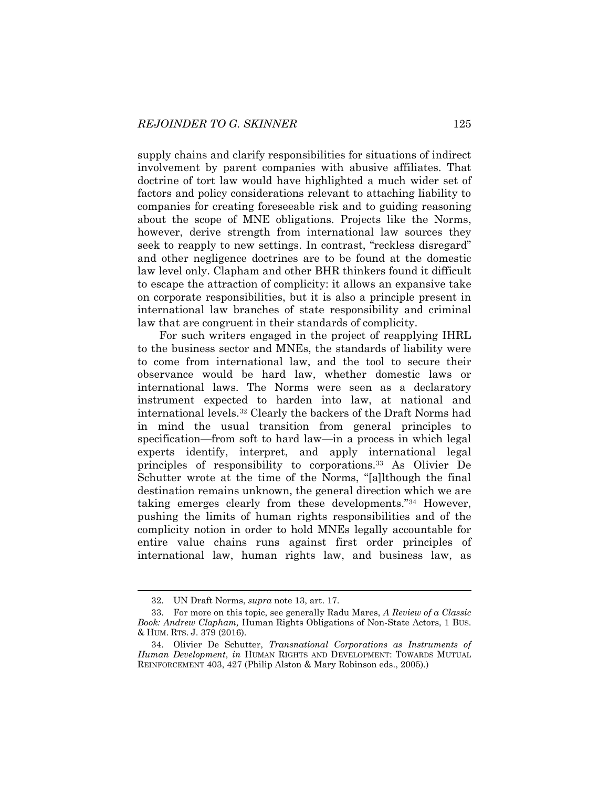supply chains and clarify responsibilities for situations of indirect involvement by parent companies with abusive affiliates. That doctrine of tort law would have highlighted a much wider set of factors and policy considerations relevant to attaching liability to companies for creating foreseeable risk and to guiding reasoning about the scope of MNE obligations. Projects like the Norms, however, derive strength from international law sources they seek to reapply to new settings. In contrast, "reckless disregard" and other negligence doctrines are to be found at the domestic law level only. Clapham and other BHR thinkers found it difficult to escape the attraction of complicity: it allows an expansive take on corporate responsibilities, but it is also a principle present in international law branches of state responsibility and criminal law that are congruent in their standards of complicity.

For such writers engaged in the project of reapplying IHRL to the business sector and MNEs, the standards of liability were to come from international law, and the tool to secure their observance would be hard law, whether domestic laws or international laws. The Norms were seen as a declaratory instrument expected to harden into law, at national and international levels.<sup>32</sup> Clearly the backers of the Draft Norms had in mind the usual transition from general principles to specification—from soft to hard law—in a process in which legal experts identify, interpret, and apply international legal principles of responsibility to corporations.<sup>33</sup> As Olivier De Schutter wrote at the time of the Norms, "[a]lthough the final destination remains unknown, the general direction which we are taking emerges clearly from these developments."<sup>34</sup> However, pushing the limits of human rights responsibilities and of the complicity notion in order to hold MNEs legally accountable for entire value chains runs against first order principles of international law, human rights law, and business law, as

<span id="page-9-1"></span><span id="page-9-0"></span><sup>32.</sup> UN Draft Norms, *supra* note [13,](#page-5-0) art. 17.

<sup>33.</sup> For more on this topic, see generally Radu Mares, *A Review of a Classic Book: Andrew Clapham,* Human Rights Obligations of Non-State Actors, 1 BUS. & HUM. RTS. J. 379 (2016).

<sup>34.</sup> Olivier De Schutter, *Transnational Corporations as Instruments of Human Development*, *in* HUMAN RIGHTS AND DEVELOPMENT: TOWARDS MUTUAL REINFORCEMENT 403, 427 (Philip Alston & Mary Robinson eds., 2005).)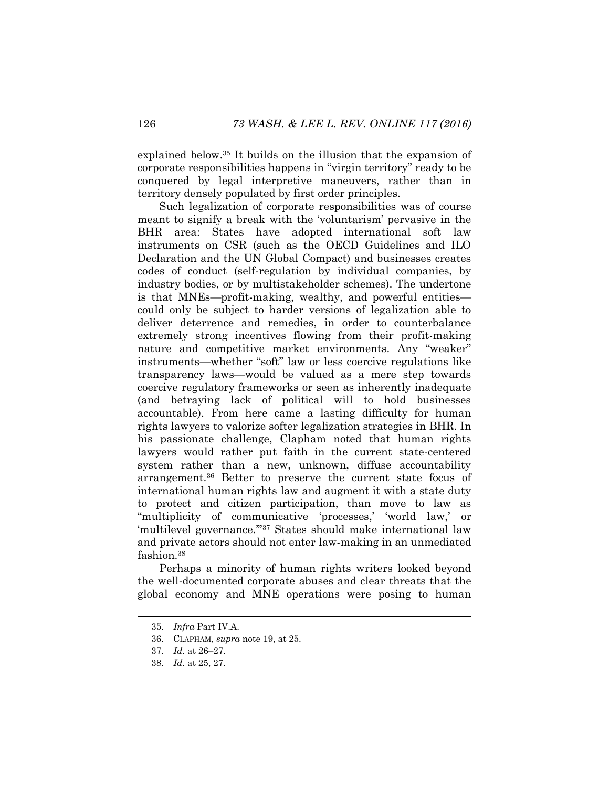explained below. <sup>35</sup> It builds on the illusion that the expansion of corporate responsibilities happens in "virgin territory" ready to be conquered by legal interpretive maneuvers, rather than in territory densely populated by first order principles.

Such legalization of corporate responsibilities was of course meant to signify a break with the 'voluntarism' pervasive in the BHR area: States have adopted international soft law instruments on CSR (such as the OECD Guidelines and ILO Declaration and the UN Global Compact) and businesses creates codes of conduct (self-regulation by individual companies, by industry bodies, or by multistakeholder schemes). The undertone is that MNEs—profit-making, wealthy, and powerful entities could only be subject to harder versions of legalization able to deliver deterrence and remedies, in order to counterbalance extremely strong incentives flowing from their profit-making nature and competitive market environments. Any "weaker" instruments—whether "soft" law or less coercive regulations like transparency laws—would be valued as a mere step towards coercive regulatory frameworks or seen as inherently inadequate (and betraying lack of political will to hold businesses accountable). From here came a lasting difficulty for human rights lawyers to valorize softer legalization strategies in BHR. In his passionate challenge, Clapham noted that human rights lawyers would rather put faith in the current state-centered system rather than a new, unknown, diffuse accountability arrangement.<sup>36</sup> Better to preserve the current state focus of international human rights law and augment it with a state duty to protect and citizen participation, than move to law as "multiplicity of communicative 'processes,' 'world law,' or 'multilevel governance.'" <sup>37</sup> States should make international law and private actors should not enter law-making in an unmediated fashion.<sup>38</sup>

Perhaps a minority of human rights writers looked beyond the well-documented corporate abuses and clear threats that the global economy and MNE operations were posing to human

<sup>35.</sup> *Infra* Part IV.A.

<sup>36.</sup> CLAPHAM, *supra* note [19,](#page-6-0) at 25.

<sup>37.</sup> *Id.* at 26–27.

<sup>38.</sup> *Id.* at 25, 27.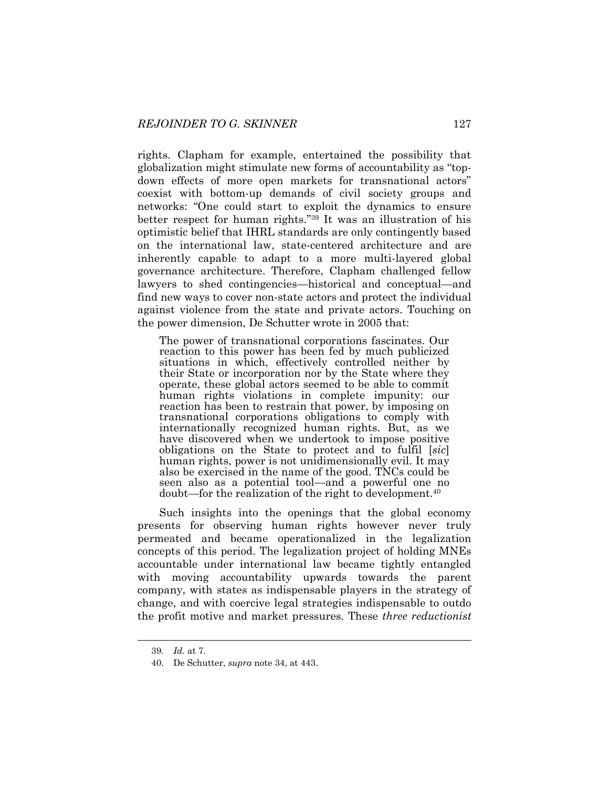rights. Clapham for example, entertained the possibility that globalization might stimulate new forms of accountability as "topdown effects of more open markets for transnational actors" coexist with bottom-up demands of civil society groups and networks: "One could start to exploit the dynamics to ensure better respect for human rights."<sup>39</sup> It was an illustration of his optimistic belief that IHRL standards are only contingently based on the international law, state-centered architecture and are inherently capable to adapt to a more multi-layered global governance architecture. Therefore, Clapham challenged fellow lawyers to shed contingencies—historical and conceptual—and find new ways to cover non-state actors and protect the individual against violence from the state and private actors. Touching on the power dimension, De Schutter wrote in 2005 that:

The power of transnational corporations fascinates. Our reaction to this power has been fed by much publicized situations in which, effectively controlled neither by their State or incorporation nor by the State where they operate, these global actors seemed to be able to commit human rights violations in complete impunity: our reaction has been to restrain that power, by imposing on transnational corporations obligations to comply with internationally recognized human rights. But, as we have discovered when we undertook to impose positive obligations on the State to protect and to fulfil [*sic*] human rights, power is not unidimensionally evil. It may also be exercised in the name of the good. TNCs could be seen also as a potential tool—and a powerful one no doubt—for the realization of the right to development.<sup>40</sup>

<span id="page-11-0"></span>Such insights into the openings that the global economy presents for observing human rights however never truly permeated and became operationalized in the legalization concepts of this period. The legalization project of holding MNEs accountable under international law became tightly entangled with moving accountability upwards towards the parent company, with states as indispensable players in the strategy of change, and with coercive legal strategies indispensable to outdo the profit motive and market pressures. These *three reductionist* 

<sup>39.</sup> *Id.* at 7.

<sup>40.</sup> De Schutter, *supra* note [34,](#page-9-0) at 443.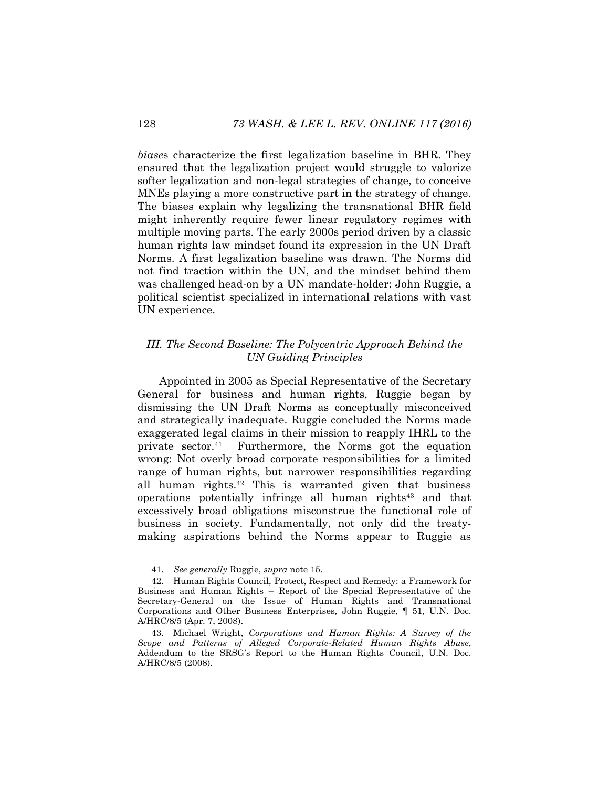*biase*s characterize the first legalization baseline in BHR. They ensured that the legalization project would struggle to valorize softer legalization and non-legal strategies of change, to conceive MNEs playing a more constructive part in the strategy of change. The biases explain why legalizing the transnational BHR field might inherently require fewer linear regulatory regimes with multiple moving parts. The early 2000s period driven by a classic human rights law mindset found its expression in the UN Draft Norms. A first legalization baseline was drawn. The Norms did not find traction within the UN, and the mindset behind them was challenged head-on by a UN mandate-holder: John Ruggie, a political scientist specialized in international relations with vast UN experience.

# *III. The Second Baseline: The Polycentric Approach Behind the UN Guiding Principles*

Appointed in 2005 as Special Representative of the Secretary General for business and human rights, Ruggie began by dismissing the UN Draft Norms as conceptually misconceived and strategically inadequate. Ruggie concluded the Norms made exaggerated legal claims in their mission to reapply IHRL to the private sector.<sup>41</sup> Furthermore, the Norms got the equation wrong: Not overly broad corporate responsibilities for a limited range of human rights, but narrower responsibilities regarding all human rights.<sup>42</sup> This is warranted given that business operations potentially infringe all human rights<sup>43</sup> and that excessively broad obligations misconstrue the functional role of business in society. Fundamentally, not only did the treatymaking aspirations behind the Norms appear to Ruggie as

<sup>41.</sup> *See generally* Ruggie, *supra* note [15.](#page-5-1)

<sup>42.</sup> Human Rights Council, Protect, Respect and Remedy: a Framework for Business and Human Rights – Report of the Special Representative of the Secretary-General on the Issue of Human Rights and Transnational Corporations and Other Business Enterprises*,* John Ruggie, ¶ 51, U.N. Doc. A/HRC/8/5 (Apr. 7, 2008).

<sup>43.</sup> Michael Wright, *Corporations and Human Rights: A Survey of the Scope and Patterns of Alleged Corporate-Related Human Rights Abuse*, Addendum to the SRSG's Report to the Human Rights Council, U.N. Doc. A/HRC/8/5 (2008).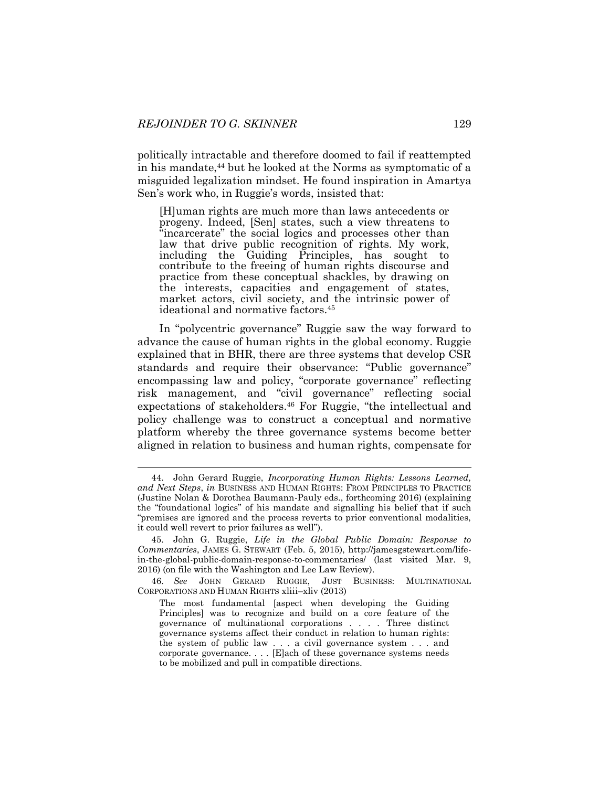politically intractable and therefore doomed to fail if reattempted in his mandate,<sup>44</sup> but he looked at the Norms as symptomatic of a misguided legalization mindset. He found inspiration in Amartya Sen's work who, in Ruggie's words, insisted that:

<span id="page-13-0"></span>[H]uman rights are much more than laws antecedents or progeny. Indeed, [Sen] states, such a view threatens to "incarcerate" the social logics and processes other than law that drive public recognition of rights. My work, including the Guiding Principles, has sought to contribute to the freeing of human rights discourse and practice from these conceptual shackles, by drawing on the interests, capacities and engagement of states, market actors, civil society, and the intrinsic power of ideational and normative factors.<sup>45</sup>

In "polycentric governance" Ruggie saw the way forward to advance the cause of human rights in the global economy. Ruggie explained that in BHR, there are three systems that develop CSR standards and require their observance: "Public governance" encompassing law and policy, "corporate governance" reflecting risk management, and "civil governance" reflecting social expectations of stakeholders.<sup>46</sup> For Ruggie, "the intellectual and policy challenge was to construct a conceptual and normative platform whereby the three governance systems become better aligned in relation to business and human rights, compensate for

<sup>44.</sup> John Gerard Ruggie, *Incorporating Human Rights: Lessons Learned, and Next Steps*, *in* BUSINESS AND HUMAN RIGHTS: FROM PRINCIPLES TO PRACTICE (Justine Nolan & Dorothea Baumann-Pauly eds., forthcoming 2016) (explaining the "foundational logics" of his mandate and signalling his belief that if such "premises are ignored and the process reverts to prior conventional modalities, it could well revert to prior failures as well").

<sup>45.</sup> John G. Ruggie, *Life in the Global Public Domain: Response to Commentaries*, JAMES G. STEWART (Feb. 5, 2015), http://jamesgstewart.com/lifein-the-global-public-domain-response-to-commentaries/ (last visited Mar. 9, 2016) (on file with the Washington and Lee Law Review).

<sup>46.</sup> *See* JOHN GERARD RUGGIE, JUST BUSINESS: MULTINATIONAL CORPORATIONS AND HUMAN RIGHTS xliii–xliv (2013)

The most fundamental [aspect when developing the Guiding Principles] was to recognize and build on a core feature of the governance of multinational corporations . . . . Three distinct governance systems affect their conduct in relation to human rights: the system of public law . . . a civil governance system . . . and corporate governance. . . . [E]ach of these governance systems needs to be mobilized and pull in compatible directions.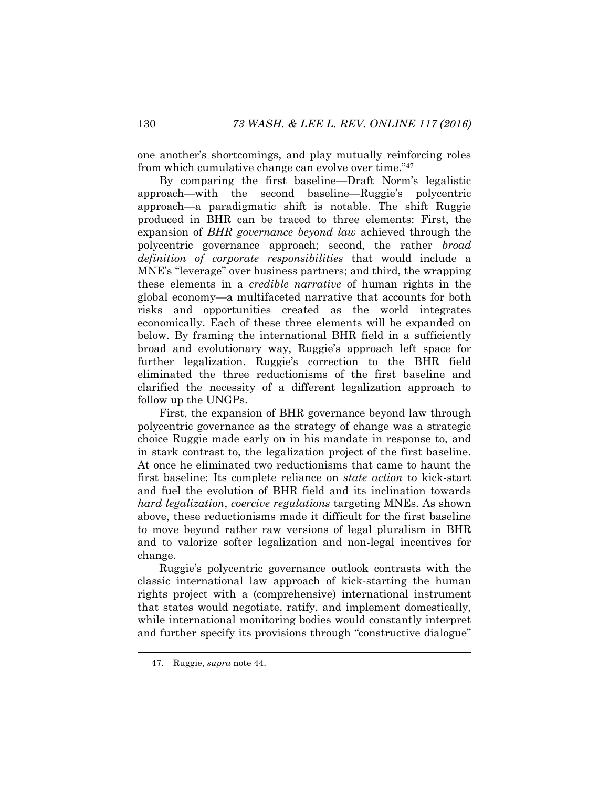<span id="page-14-0"></span>one another's shortcomings, and play mutually reinforcing roles from which cumulative change can evolve over time."<sup>47</sup>

By comparing the first baseline—Draft Norm's legalistic approach—with the second baseline—Ruggie's polycentric approach—a paradigmatic shift is notable. The shift Ruggie produced in BHR can be traced to three elements: First, the expansion of *BHR governance beyond law* achieved through the polycentric governance approach; second, the rather *broad definition of corporate responsibilities* that would include a MNE's "leverage" over business partners; and third, the wrapping these elements in a *credible narrative* of human rights in the global economy—a multifaceted narrative that accounts for both risks and opportunities created as the world integrates economically. Each of these three elements will be expanded on below. By framing the international BHR field in a sufficiently broad and evolutionary way, Ruggie's approach left space for further legalization. Ruggie's correction to the BHR field eliminated the three reductionisms of the first baseline and clarified the necessity of a different legalization approach to follow up the UNGPs.

First, the expansion of BHR governance beyond law through polycentric governance as the strategy of change was a strategic choice Ruggie made early on in his mandate in response to, and in stark contrast to, the legalization project of the first baseline. At once he eliminated two reductionisms that came to haunt the first baseline: Its complete reliance on *state action* to kick-start and fuel the evolution of BHR field and its inclination towards *hard legalization*, *coercive regulations* targeting MNEs. As shown above, these reductionisms made it difficult for the first baseline to move beyond rather raw versions of legal pluralism in BHR and to valorize softer legalization and non-legal incentives for change.

Ruggie's polycentric governance outlook contrasts with the classic international law approach of kick-starting the human rights project with a (comprehensive) international instrument that states would negotiate, ratify, and implement domestically, while international monitoring bodies would constantly interpret and further specify its provisions through "constructive dialogue"

<sup>47.</sup> Ruggie, *supra* note [44.](#page-13-0)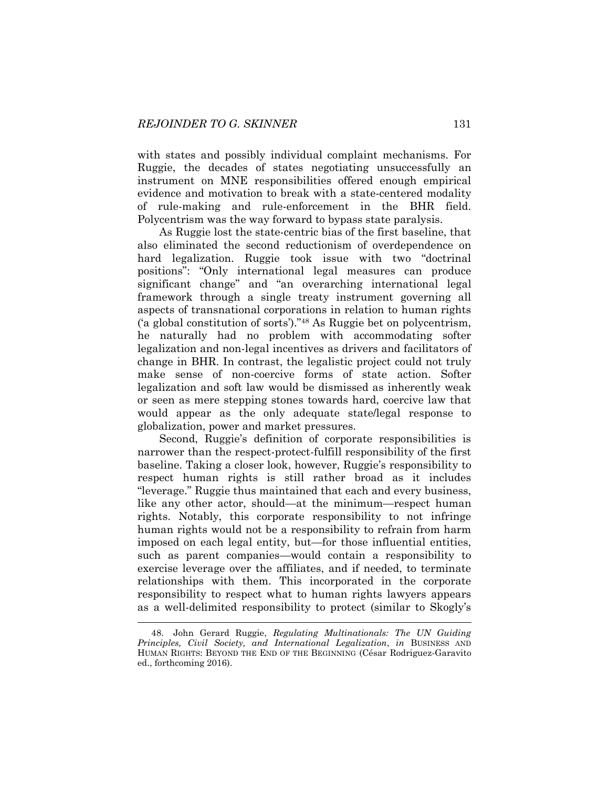with states and possibly individual complaint mechanisms. For Ruggie, the decades of states negotiating unsuccessfully an instrument on MNE responsibilities offered enough empirical evidence and motivation to break with a state-centered modality of rule-making and rule-enforcement in the BHR field. Polycentrism was the way forward to bypass state paralysis.

As Ruggie lost the state-centric bias of the first baseline, that also eliminated the second reductionism of overdependence on hard legalization. Ruggie took issue with two "doctrinal positions": "Only international legal measures can produce significant change" and "an overarching international legal framework through a single treaty instrument governing all aspects of transnational corporations in relation to human rights ('a global constitution of sorts')."<sup>48</sup> As Ruggie bet on polycentrism, he naturally had no problem with accommodating softer legalization and non-legal incentives as drivers and facilitators of change in BHR. In contrast, the legalistic project could not truly make sense of non-coercive forms of state action. Softer legalization and soft law would be dismissed as inherently weak or seen as mere stepping stones towards hard, coercive law that would appear as the only adequate state/legal response to globalization, power and market pressures.

Second, Ruggie's definition of corporate responsibilities is narrower than the respect-protect-fulfill responsibility of the first baseline. Taking a closer look, however, Ruggie's responsibility to respect human rights is still rather broad as it includes "leverage." Ruggie thus maintained that each and every business, like any other actor, should—at the minimum—respect human rights. Notably, this corporate responsibility to not infringe human rights would not be a responsibility to refrain from harm imposed on each legal entity, but—for those influential entities, such as parent companies—would contain a responsibility to exercise leverage over the affiliates, and if needed, to terminate relationships with them. This incorporated in the corporate responsibility to respect what to human rights lawyers appears as a well-delimited responsibility to protect (similar to Skogly's

<sup>48.</sup> John Gerard Ruggie, *Regulating Multinationals: The UN Guiding Principles, Civil Society, and International Legalization*[,](http://papers.ssrn.com/sol3/cf_dev/AbsByAuth.cfm?per_id=109172) *in* BUSINESS AND HUMAN RIGHTS: BEYOND THE END OF THE BEGINNING (César Rodriguez-Garavito ed., forthcoming 2016).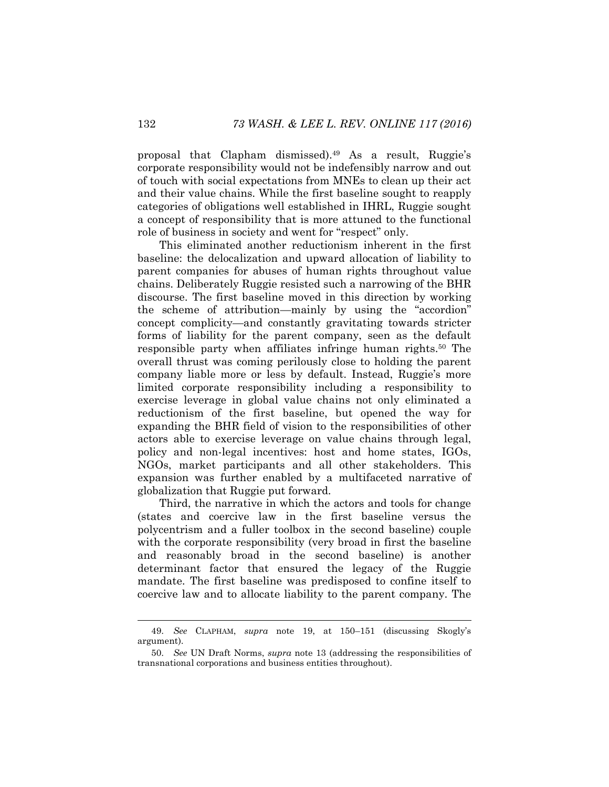proposal that Clapham dismissed).<sup>49</sup> As a result, Ruggie's corporate responsibility would not be indefensibly narrow and out of touch with social expectations from MNEs to clean up their act and their value chains. While the first baseline sought to reapply categories of obligations well established in IHRL, Ruggie sought a concept of responsibility that is more attuned to the functional role of business in society and went for "respect" only.

This eliminated another reductionism inherent in the first baseline: the delocalization and upward allocation of liability to parent companies for abuses of human rights throughout value chains. Deliberately Ruggie resisted such a narrowing of the BHR discourse. The first baseline moved in this direction by working the scheme of attribution—mainly by using the "accordion" concept complicity—and constantly gravitating towards stricter forms of liability for the parent company, seen as the default responsible party when affiliates infringe human rights.<sup>50</sup> The overall thrust was coming perilously close to holding the parent company liable more or less by default. Instead, Ruggie's more limited corporate responsibility including a responsibility to exercise leverage in global value chains not only eliminated a reductionism of the first baseline, but opened the way for expanding the BHR field of vision to the responsibilities of other actors able to exercise leverage on value chains through legal, policy and non-legal incentives: host and home states, IGOs, NGOs, market participants and all other stakeholders. This expansion was further enabled by a multifaceted narrative of globalization that Ruggie put forward.

Third, the narrative in which the actors and tools for change (states and coercive law in the first baseline versus the polycentrism and a fuller toolbox in the second baseline) couple with the corporate responsibility (very broad in first the baseline and reasonably broad in the second baseline) is another determinant factor that ensured the legacy of the Ruggie mandate. The first baseline was predisposed to confine itself to coercive law and to allocate liability to the parent company. The

<sup>49.</sup> *See* CLAPHAM, *supra* note [19,](#page-6-0) at 150–151 (discussing Skogly's argument).

<sup>50.</sup> *See* UN Draft Norms, *supra* note [13](#page-5-0) (addressing the responsibilities of transnational corporations and business entities throughout).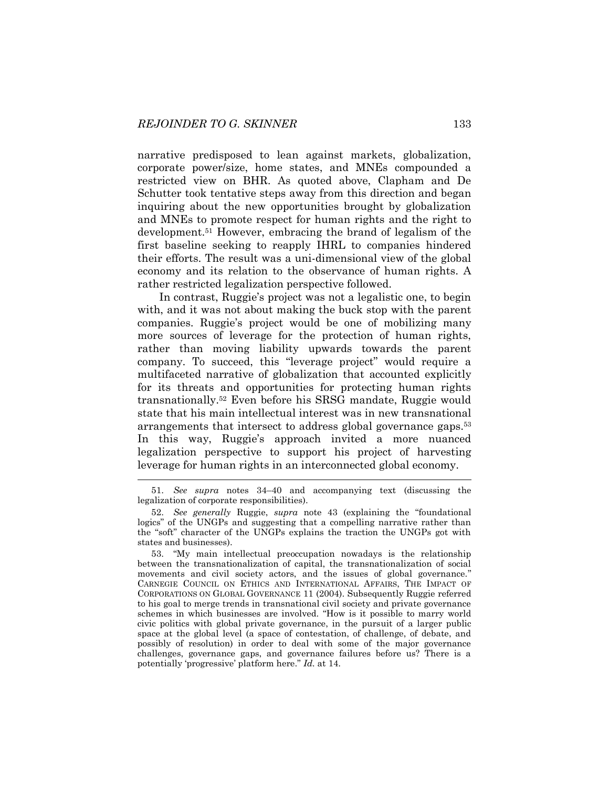narrative predisposed to lean against markets, globalization, corporate power/size, home states, and MNEs compounded a restricted view on BHR. As quoted above, Clapham and De Schutter took tentative steps away from this direction and began inquiring about the new opportunities brought by globalization and MNEs to promote respect for human rights and the right to development.<sup>51</sup> However, embracing the brand of legalism of the first baseline seeking to reapply IHRL to companies hindered their efforts. The result was a uni-dimensional view of the global economy and its relation to the observance of human rights. A rather restricted legalization perspective followed.

In contrast, Ruggie's project was not a legalistic one, to begin with, and it was not about making the buck stop with the parent companies. Ruggie's project would be one of mobilizing many more sources of leverage for the protection of human rights, rather than moving liability upwards towards the parent company. To succeed, this "leverage project" would require a multifaceted narrative of globalization that accounted explicitly for its threats and opportunities for protecting human rights transnationally.<sup>52</sup> Even before his SRSG mandate, Ruggie would state that his main intellectual interest was in new transnational arrangements that intersect to address global governance gaps. 53 In this way, Ruggie's approach invited a more nuanced legalization perspective to support his project of harvesting leverage for human rights in an interconnected global economy.

<sup>51.</sup> *See supra* notes [34](#page-9-0)–[40](#page-11-0) and accompanying text (discussing the legalization of corporate responsibilities).

<sup>52.</sup> *See generally* Ruggie, *supra* note 43 (explaining the "foundational logics" of the UNGPs and suggesting that a compelling narrative rather than the "soft" character of the UNGPs explains the traction the UNGPs got with states and businesses).

<sup>53.</sup> "My main intellectual preoccupation nowadays is the relationship between the transnationalization of capital, the transnationalization of social movements and civil society actors, and the issues of global governance." CARNEGIE COUNCIL ON ETHICS AND INTERNATIONAL AFFAIRS, THE IMPACT OF CORPORATIONS ON GLOBAL GOVERNANCE 11 (2004). Subsequently Ruggie referred to his goal to merge trends in transnational civil society and private governance schemes in which businesses are involved. "How is it possible to marry world civic politics with global private governance, in the pursuit of a larger public space at the global level (a space of contestation, of challenge, of debate, and possibly of resolution) in order to deal with some of the major governance challenges, governance gaps, and governance failures before us? There is a potentially 'progressive' platform here." *Id.* at 14.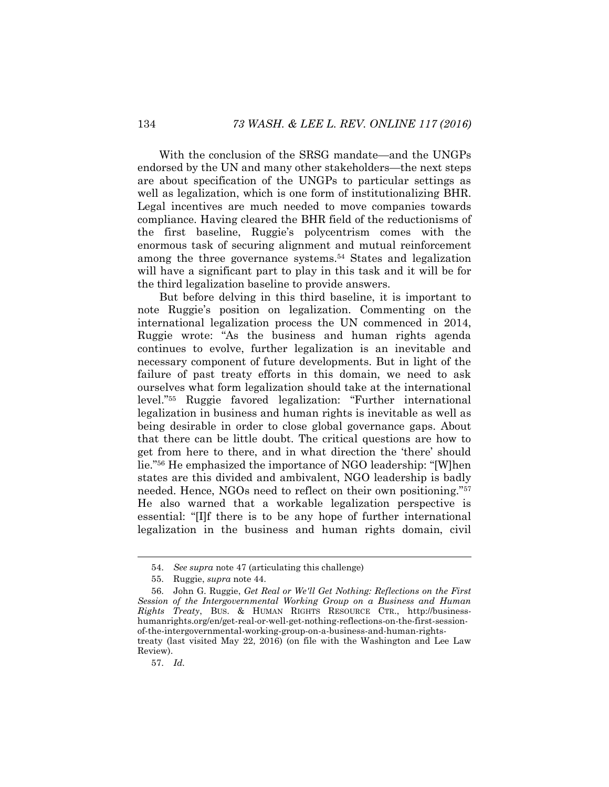With the conclusion of the SRSG mandate—and the UNGPs endorsed by the UN and many other stakeholders—the next steps are about specification of the UNGPs to particular settings as well as legalization, which is one form of institutionalizing BHR. Legal incentives are much needed to move companies towards compliance. Having cleared the BHR field of the reductionisms of the first baseline, Ruggie's polycentrism comes with the enormous task of securing alignment and mutual reinforcement among the three governance systems.<sup>54</sup> States and legalization will have a significant part to play in this task and it will be for the third legalization baseline to provide answers.

But before delving in this third baseline, it is important to note Ruggie's position on legalization. Commenting on the international legalization process the UN commenced in 2014, Ruggie wrote: "As the business and human rights agenda continues to evolve, further legalization is an inevitable and necessary component of future developments. But in light of the failure of past treaty efforts in this domain, we need to ask ourselves what form legalization should take at the international level."<sup>55</sup> Ruggie favored legalization: "Further international legalization in business and human rights is inevitable as well as being desirable in order to close global governance gaps. About that there can be little doubt. The critical questions are how to get from here to there, and in what direction the 'there' should lie."<sup>56</sup> He emphasized the importance of NGO leadership: "[W]hen states are this divided and ambivalent, NGO leadership is badly needed. Hence, NGOs need to reflect on their own positioning."<sup>57</sup> He also warned that a workable legalization perspective is essential: "[I]f there is to be any hope of further international legalization in the business and human rights domain, civil

Review).

57. *Id.*

<span id="page-18-0"></span><sup>54.</sup> *See supra* not[e 47](#page-14-0) (articulating this challenge)

<sup>55.</sup> Ruggie, *supra* note [44.](#page-13-0)

<sup>56.</sup> John G. Ruggie, *Get Real or We'll Get Nothing: Reflections on the First Session of the Intergovernmental Working Group on a Business and Human Rights Treaty*, BUS. & HUMAN RIGHTS RESOURCE CTR., http://businesshumanrights.org/en/get-real-or-well-get-nothing-reflections-on-the-first-sessionof-the-intergovernmental-working-group-on-a-business-and-human-rightstreaty (last visited May 22, 2016) (on file with the Washington and Lee Law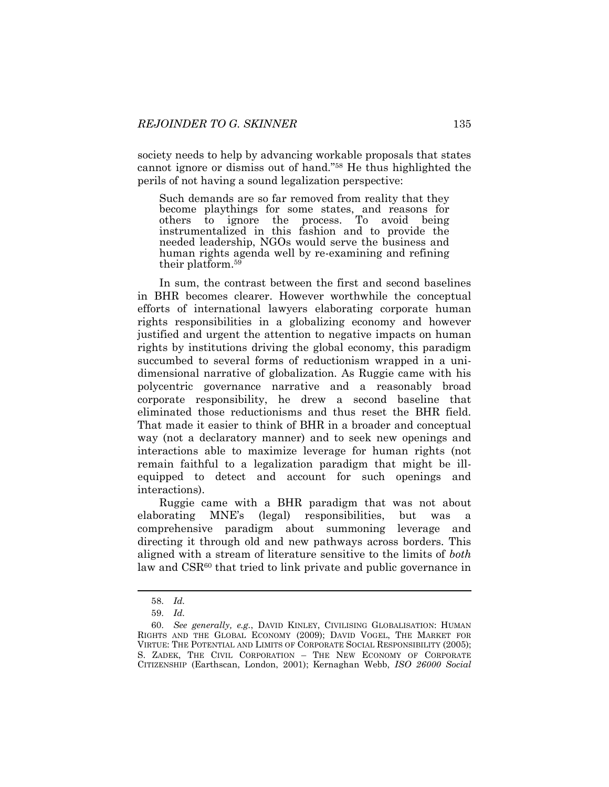society needs to help by advancing workable proposals that states cannot ignore or dismiss out of hand."<sup>58</sup> He thus highlighted the perils of not having a sound legalization perspective:

Such demands are so far removed from reality that they become playthings for some states, and reasons for others to ignore the process. To avoid being instrumentalized in this fashion and to provide the needed leadership, NGOs would serve the business and human rights agenda well by re-examining and refining their platform.<sup>59</sup>

In sum, the contrast between the first and second baselines in BHR becomes clearer. However worthwhile the conceptual efforts of international lawyers elaborating corporate human rights responsibilities in a globalizing economy and however justified and urgent the attention to negative impacts on human rights by institutions driving the global economy, this paradigm succumbed to several forms of reductionism wrapped in a unidimensional narrative of globalization. As Ruggie came with his polycentric governance narrative and a reasonably broad corporate responsibility, he drew a second baseline that eliminated those reductionisms and thus reset the BHR field. That made it easier to think of BHR in a broader and conceptual way (not a declaratory manner) and to seek new openings and interactions able to maximize leverage for human rights (not remain faithful to a legalization paradigm that might be illequipped to detect and account for such openings and interactions).

Ruggie came with a BHR paradigm that was not about elaborating MNE's (legal) responsibilities, but was comprehensive paradigm about summoning leverage and directing it through old and new pathways across borders. This aligned with a stream of literature sensitive to the limits of *both* law and CSR<sup>60</sup> that tried to link private and public governance in

<sup>58.</sup> *Id.*

<sup>59.</sup> *Id.*

<sup>60.</sup> *See generally, e.g.*, DAVID KINLEY, CIVILISING GLOBALISATION: HUMAN RIGHTS AND THE GLOBAL ECONOMY (2009); DAVID VOGEL, THE MARKET FOR VIRTUE: THE POTENTIAL AND LIMITS OF CORPORATE SOCIAL RESPONSIBILITY (2005); S. ZADEK, THE CIVIL CORPORATION – THE NEW ECONOMY OF CORPORATE CITIZENSHIP (Earthscan, London, 2001); Kernaghan Webb, *ISO 26000 Social*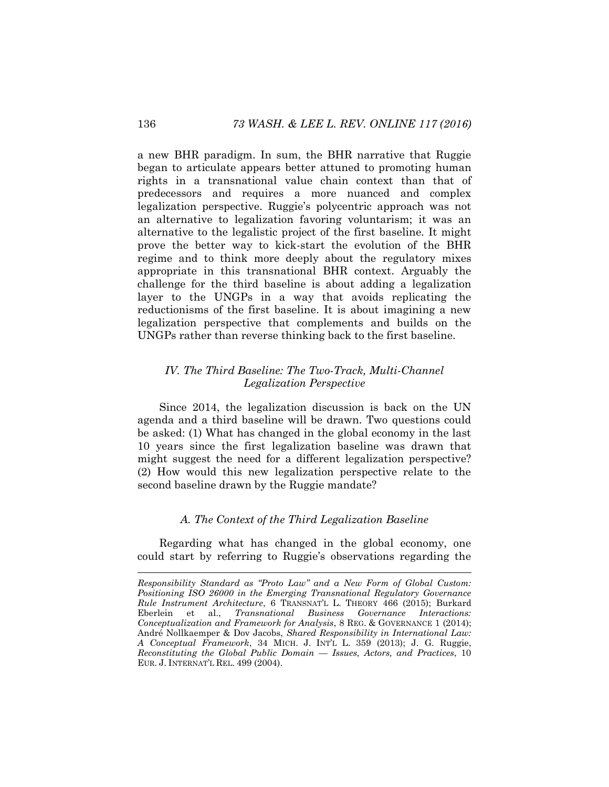a new BHR paradigm. In sum, the BHR narrative that Ruggie began to articulate appears better attuned to promoting human rights in a transnational value chain context than that of predecessors and requires a more nuanced and complex legalization perspective. Ruggie's polycentric approach was not an alternative to legalization favoring voluntarism; it was an alternative to the legalistic project of the first baseline. It might prove the better way to kick-start the evolution of the BHR regime and to think more deeply about the regulatory mixes appropriate in this transnational BHR context. Arguably the challenge for the third baseline is about adding a legalization layer to the UNGPs in a way that avoids replicating the reductionisms of the first baseline. It is about imagining a new legalization perspective that complements and builds on the UNGPs rather than reverse thinking back to the first baseline.

# *IV. The Third Baseline: The Two-Track, Multi-Channel Legalization Perspective*

Since 2014, the legalization discussion is back on the UN agenda and a third baseline will be drawn. Two questions could be asked: (1) What has changed in the global economy in the last 10 years since the first legalization baseline was drawn that might suggest the need for a different legalization perspective? (2) How would this new legalization perspective relate to the second baseline drawn by the Ruggie mandate?

#### *A. The Context of the Third Legalization Baseline*

Regarding what has changed in the global economy, one could start by referring to Ruggie's observations regarding the

*Responsibility Standard as "Proto Law" and a New Form of Global Custom: Positioning ISO 26000 in the Emerging Transnational Regulatory Governance Rule Instrument Architecture*, 6 TRANSNAT'L L. THEORY 466 (2015); Burkard Eberlein et al., *Transnational Business Governance Interactions: Conceptualization and Framework for Analysis*, 8 REG. & GOVERNANCE 1 (2014); André Nollkaemper & Dov Jacobs, *Shared Responsibility in International Law: A Conceptual Framework*, 34 MICH. J. INT'L L. 359 (2013); J. G. Ruggie, *Reconstituting the Global Public Domain — Issues, Actors, and Practices*, 10 EUR. J. INTERNAT'L REL. 499 (2004).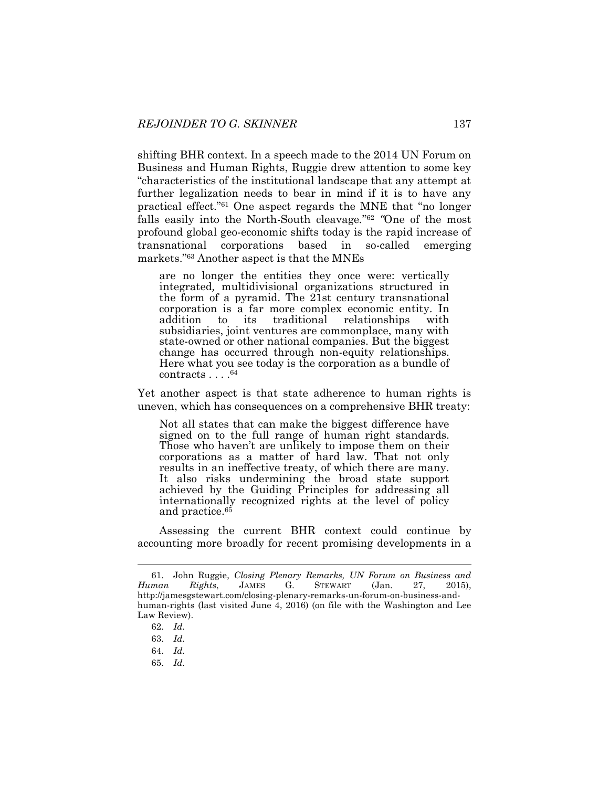shifting BHR context. In a speech made to the 2014 UN Forum on Business and Human Rights, Ruggie drew attention to some key "characteristics of the institutional landscape that any attempt at further legalization needs to bear in mind if it is to have any practical effect."<sup>61</sup> One aspect regards the MNE that "no longer falls easily into the North-South cleavage."<sup>62</sup> "One of the most profound global geo-economic shifts today is the rapid increase of transnational corporations based in so-called emerging markets."<sup>63</sup> Another aspect is that the MNEs

are no longer the entities they once were: vertically integrated*,* multidivisional organizations structured in the form of a pyramid. The 21st century transnational corporation is a far more complex economic entity. In addition to its traditional relationships with subsidiaries, joint ventures are commonplace, many with state-owned or other national companies. But the biggest change has occurred through non-equity relationships. Here what you see today is the corporation as a bundle of contracts . . . .<sup>64</sup>

Yet another aspect is that state adherence to human rights is uneven, which has consequences on a comprehensive BHR treaty:

Not all states that can make the biggest difference have signed on to the full range of human right standards. Those who haven't are unlikely to impose them on their corporations as a matter of hard law. That not only results in an ineffective treaty, of which there are many. It also risks undermining the broad state support achieved by the Guiding Principles for addressing all internationally recognized rights at the level of policy and practice.<sup>65</sup>

Assessing the current BHR context could continue by accounting more broadly for recent promising developments in a

l

65. *Id.*

<sup>61.</sup> John Ruggie, *Closing Plenary Remarks, UN Forum on Business and Human Rights*, JAMES G. STEWART (Jan. 27, 2015), http://jamesgstewart.com/closing-plenary-remarks-un-forum-on-business-andhuman-rights (last visited June 4, 2016) (on file with the Washington and Lee Law Review).

<sup>62.</sup> *Id.*

<sup>63.</sup> *Id.*

<sup>64.</sup> *Id.*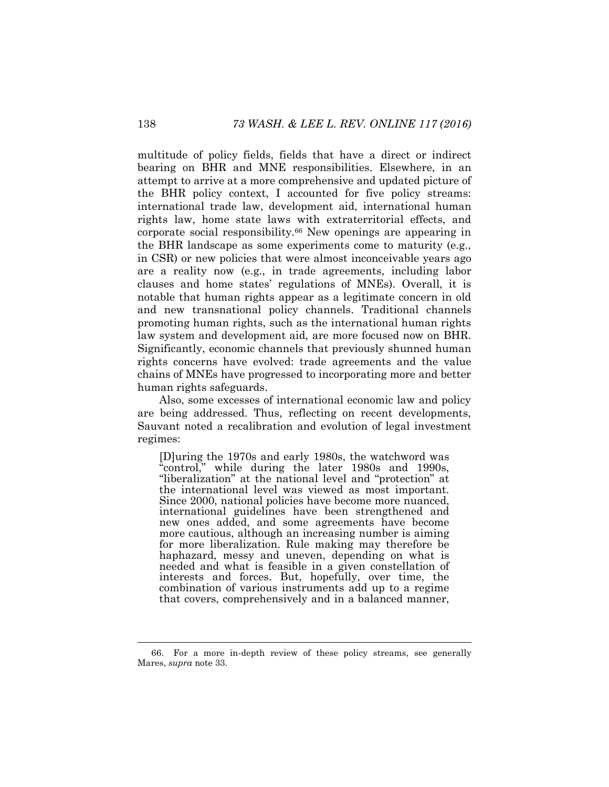multitude of policy fields, fields that have a direct or indirect bearing on BHR and MNE responsibilities. Elsewhere, in an attempt to arrive at a more comprehensive and updated picture of the BHR policy context, I accounted for five policy streams: international trade law, development aid, international human rights law, home state laws with extraterritorial effects, and corporate social responsibility.<sup>66</sup> New openings are appearing in the BHR landscape as some experiments come to maturity (e.g., in CSR) or new policies that were almost inconceivable years ago are a reality now (e.g., in trade agreements, including labor clauses and home states' regulations of MNEs). Overall, it is notable that human rights appear as a legitimate concern in old and new transnational policy channels. Traditional channels promoting human rights, such as the international human rights law system and development aid, are more focused now on BHR. Significantly, economic channels that previously shunned human rights concerns have evolved: trade agreements and the value chains of MNEs have progressed to incorporating more and better human rights safeguards.

Also, some excesses of international economic law and policy are being addressed. Thus, reflecting on recent developments, Sauvant noted a recalibration and evolution of legal investment regimes:

[D]uring the 1970s and early 1980s, the watchword was "control," while during the later 1980s and 1990s, "liberalization" at the national level and "protection" at the international level was viewed as most important. Since 2000, national policies have become more nuanced, international guidelines have been strengthened and new ones added, and some agreements have become more cautious, although an increasing number is aiming for more liberalization. Rule making may therefore be haphazard, messy and uneven, depending on what is needed and what is feasible in a given constellation of interests and forces. But, hopefully, over time, the combination of various instruments add up to a regime that covers, comprehensively and in a balanced manner,

<sup>66.</sup> For a more in-depth review of these policy streams, see generally Mares, *supra* note [33.](#page-9-1)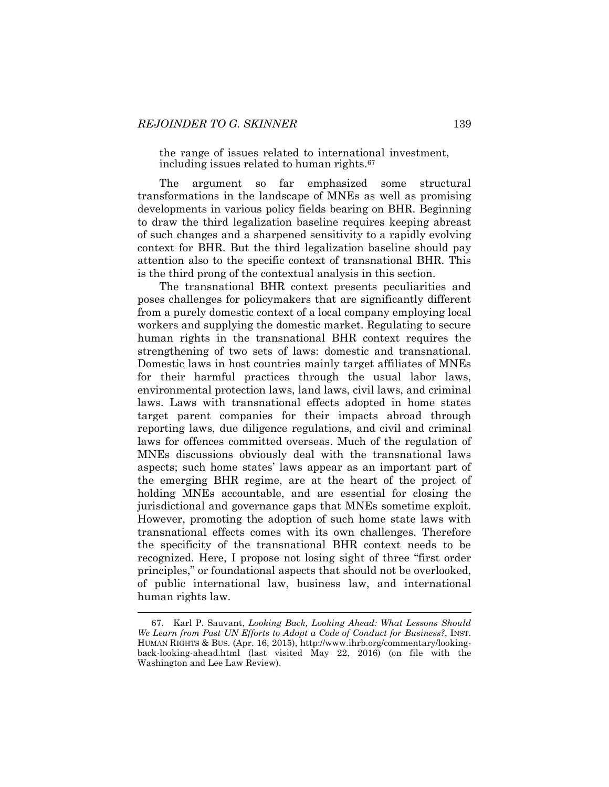the range of issues related to international investment, including issues related to human rights.<sup>67</sup>

The argument so far emphasized some structural transformations in the landscape of MNEs as well as promising developments in various policy fields bearing on BHR. Beginning to draw the third legalization baseline requires keeping abreast of such changes and a sharpened sensitivity to a rapidly evolving context for BHR. But the third legalization baseline should pay attention also to the specific context of transnational BHR. This is the third prong of the contextual analysis in this section.

The transnational BHR context presents peculiarities and poses challenges for policymakers that are significantly different from a purely domestic context of a local company employing local workers and supplying the domestic market. Regulating to secure human rights in the transnational BHR context requires the strengthening of two sets of laws: domestic and transnational. Domestic laws in host countries mainly target affiliates of MNEs for their harmful practices through the usual labor laws, environmental protection laws, land laws, civil laws, and criminal laws. Laws with transnational effects adopted in home states target parent companies for their impacts abroad through reporting laws, due diligence regulations, and civil and criminal laws for offences committed overseas. Much of the regulation of MNEs discussions obviously deal with the transnational laws aspects; such home states' laws appear as an important part of the emerging BHR regime, are at the heart of the project of holding MNEs accountable, and are essential for closing the jurisdictional and governance gaps that MNEs sometime exploit. However, promoting the adoption of such home state laws with transnational effects comes with its own challenges. Therefore the specificity of the transnational BHR context needs to be recognized. Here, I propose not losing sight of three "first order principles," or foundational aspects that should not be overlooked, of public international law, business law, and international human rights law.

<sup>67.</sup> Karl P. Sauvant, *Looking Back, Looking Ahead: What Lessons Should We Learn from Past UN Efforts to Adopt a Code of Conduct for Business?*, INST. HUMAN RIGHTS & BUS. (Apr. 16, 2015), http://www.ihrb.org/commentary/lookingback-looking-ahead.html (last visited May 22, 2016) (on file with the Washington and Lee Law Review).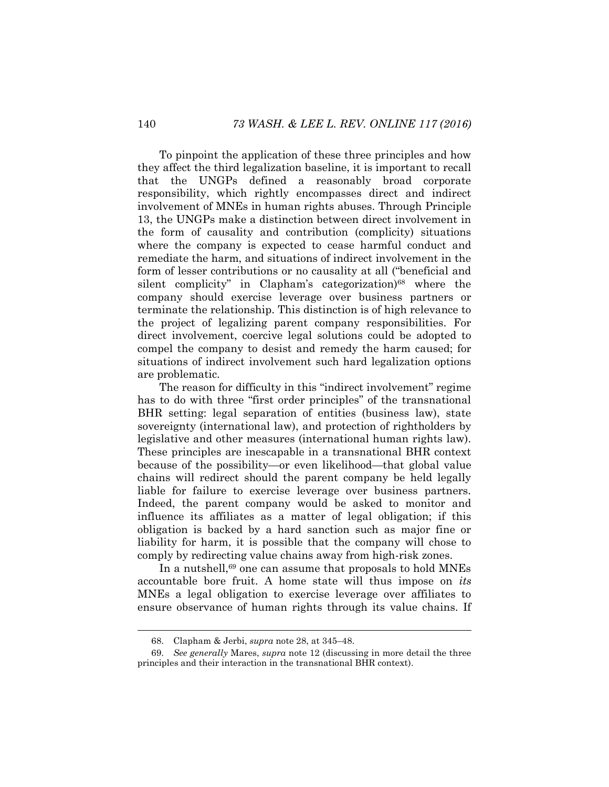To pinpoint the application of these three principles and how they affect the third legalization baseline, it is important to recall that the UNGPs defined a reasonably broad corporate responsibility, which rightly encompasses direct and indirect involvement of MNEs in human rights abuses. Through Principle 13, the UNGPs make a distinction between direct involvement in the form of causality and contribution (complicity) situations where the company is expected to cease harmful conduct and remediate the harm, and situations of indirect involvement in the form of lesser contributions or no causality at all ("beneficial and silent complicity" in Clapham's categorization)<sup>68</sup> where the company should exercise leverage over business partners or terminate the relationship. This distinction is of high relevance to the project of legalizing parent company responsibilities. For direct involvement, coercive legal solutions could be adopted to compel the company to desist and remedy the harm caused; for situations of indirect involvement such hard legalization options are problematic.

The reason for difficulty in this "indirect involvement" regime has to do with three "first order principles" of the transnational BHR setting: legal separation of entities (business law), state sovereignty (international law), and protection of rightholders by legislative and other measures (international human rights law). These principles are inescapable in a transnational BHR context because of the possibility—or even likelihood—that global value chains will redirect should the parent company be held legally liable for failure to exercise leverage over business partners. Indeed, the parent company would be asked to monitor and influence its affiliates as a matter of legal obligation; if this obligation is backed by a hard sanction such as major fine or liability for harm, it is possible that the company will chose to comply by redirecting value chains away from high-risk zones.

In a nutshell,<sup>69</sup> one can assume that proposals to hold MNEs accountable bore fruit. A home state will thus impose on *its* MNEs a legal obligation to exercise leverage over affiliates to ensure observance of human rights through its value chains. If

<sup>68.</sup> Clapham & Jerbi, *supra* not[e 28,](#page-8-0) at 345–48.

<sup>69.</sup> *See generally* Mares, *supra* note [12](#page-4-0) (discussing in more detail the three principles and their interaction in the transnational BHR context).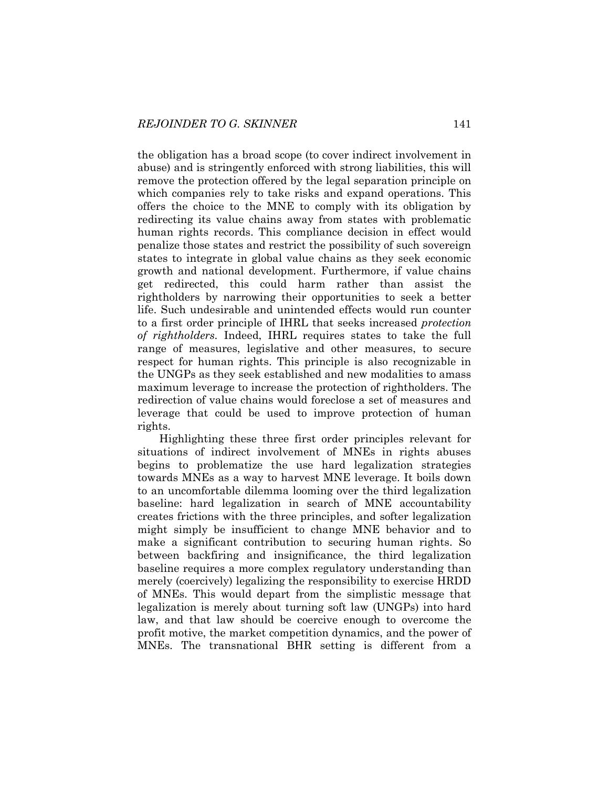the obligation has a broad scope (to cover indirect involvement in abuse) and is stringently enforced with strong liabilities, this will remove the protection offered by the legal separation principle on which companies rely to take risks and expand operations. This offers the choice to the MNE to comply with its obligation by redirecting its value chains away from states with problematic human rights records. This compliance decision in effect would penalize those states and restrict the possibility of such sovereign states to integrate in global value chains as they seek economic growth and national development. Furthermore, if value chains get redirected, this could harm rather than assist the rightholders by narrowing their opportunities to seek a better life. Such undesirable and unintended effects would run counter to a first order principle of IHRL that seeks increased *protection of rightholders.* Indeed, IHRL requires states to take the full range of measures, legislative and other measures, to secure respect for human rights. This principle is also recognizable in the UNGPs as they seek established and new modalities to amass maximum leverage to increase the protection of rightholders. The redirection of value chains would foreclose a set of measures and leverage that could be used to improve protection of human rights.

Highlighting these three first order principles relevant for situations of indirect involvement of MNEs in rights abuses begins to problematize the use hard legalization strategies towards MNEs as a way to harvest MNE leverage. It boils down to an uncomfortable dilemma looming over the third legalization baseline: hard legalization in search of MNE accountability creates frictions with the three principles, and softer legalization might simply be insufficient to change MNE behavior and to make a significant contribution to securing human rights. So between backfiring and insignificance, the third legalization baseline requires a more complex regulatory understanding than merely (coercively) legalizing the responsibility to exercise HRDD of MNEs. This would depart from the simplistic message that legalization is merely about turning soft law (UNGPs) into hard law, and that law should be coercive enough to overcome the profit motive, the market competition dynamics, and the power of MNEs. The transnational BHR setting is different from a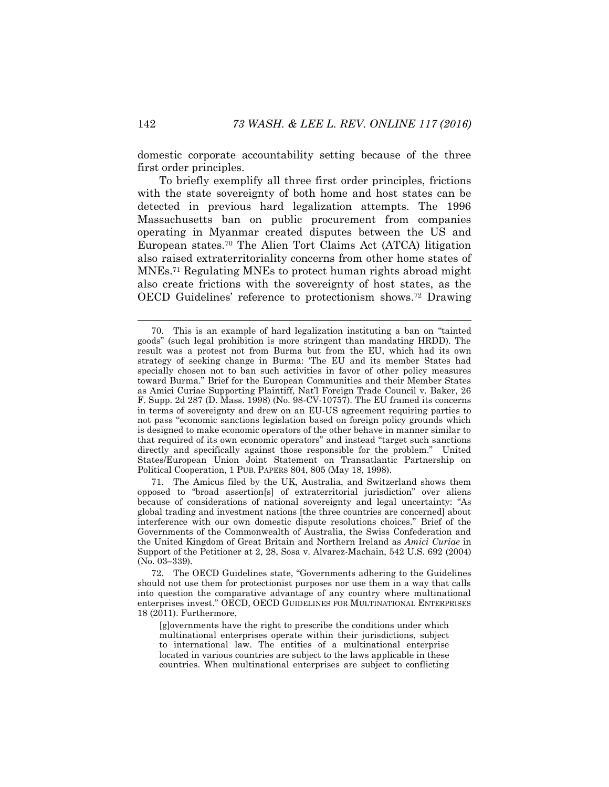domestic corporate accountability setting because of the three first order principles.

To briefly exemplify all three first order principles, frictions with the state sovereignty of both home and host states can be detected in previous hard legalization attempts. The 1996 Massachusetts ban on public procurement from companies operating in Myanmar created disputes between the US and European states.<sup>70</sup> The Alien Tort Claims Act (ATCA) litigation also raised extraterritoriality concerns from other home states of MNEs.<sup>71</sup> Regulating MNEs to protect human rights abroad might also create frictions with the sovereignty of host states, as the OECD Guidelines' reference to protectionism shows.<sup>72</sup> Drawing

71. The Amicus filed by the UK, Australia, and Switzerland shows them opposed to "broad assertion[s] of extraterritorial jurisdiction" over aliens because of considerations of national sovereignty and legal uncertainty: "As global trading and investment nations [the three countries are concerned] about interference with our own domestic dispute resolutions choices." Brief of the Governments of the Commonwealth of Australia, the Swiss Confederation and the United Kingdom of Great Britain and Northern Ireland as *Amici Curiae* in Support of the Petitioner at 2, 28, Sosa v. Alvarez-Machain, 542 U.S. 692 (2004) (No. 03–339).

72. The OECD Guidelines state, "Governments adhering to the Guidelines should not use them for protectionist purposes nor use them in a way that calls into question the comparative advantage of any country where multinational enterprises invest." OECD, OECD GUIDELINES FOR MULTINATIONAL ENTERPRISES 18 (2011). Furthermore,

[g]overnments have the right to prescribe the conditions under which multinational enterprises operate within their jurisdictions, subject to international law. The entities of a multinational enterprise located in various countries are subject to the laws applicable in these countries. When multinational enterprises are subject to conflicting

<span id="page-26-0"></span><sup>70.</sup> This is an example of hard legalization instituting a ban on "tainted goods" (such legal prohibition is more stringent than mandating HRDD). The result was a protest not from Burma but from the EU, which had its own strategy of seeking change in Burma: 'The EU and its member States had specially chosen not to ban such activities in favor of other policy measures toward Burma." Brief for the European Communities and their Member States as Amici Curiae Supporting Plaintiff, Nat'l Foreign Trade Council v. Baker, 26 F. Supp. 2d 287 (D. Mass. 1998) (No. 98-CV-10757). The EU framed its concerns in terms of sovereignty and drew on an EU-US agreement requiring parties to not pass "economic sanctions legislation based on foreign policy grounds which is designed to make economic operators of the other behave in manner similar to that required of its own economic operators" and instead "target such sanctions directly and specifically against those responsible for the problem." United States/European Union Joint Statement on Transatlantic Partnership on Political Cooperation, 1 PUB. PAPERS 804, 805 (May 18, 1998).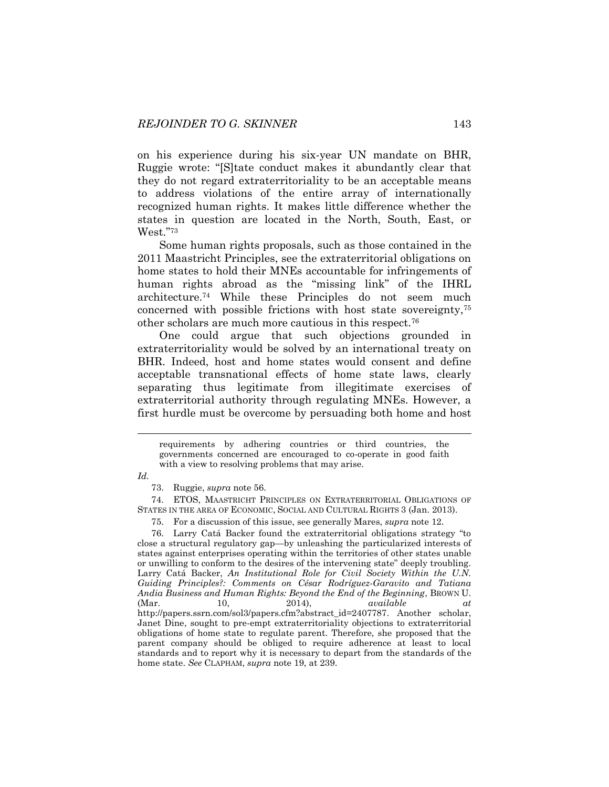on his experience during his six-year UN mandate on BHR, Ruggie wrote: "[S]tate conduct makes it abundantly clear that they do not regard extraterritoriality to be an acceptable means to address violations of the entire array of internationally recognized human rights. It makes little difference whether the states in question are located in the North, South, East, or West."<sup>73</sup>

Some human rights proposals, such as those contained in the 2011 Maastricht Principles, see the extraterritorial obligations on home states to hold their MNEs accountable for infringements of human rights abroad as the "missing link" of the IHRL architecture.<sup>74</sup> While these Principles do not seem much concerned with possible frictions with host state sovereignty,<sup>75</sup> other scholars are much more cautious in this respect.<sup>76</sup>

One could argue that such objections grounded in extraterritoriality would be solved by an international treaty on BHR. Indeed, host and home states would consent and define acceptable transnational effects of home state laws, clearly separating thus legitimate from illegitimate exercises of extraterritorial authority through regulating MNEs. However, a first hurdle must be overcome by persuading both home and host

73. Ruggie, *supra* note [56.](#page-18-0)

74. ETOS, MAASTRICHT PRINCIPLES ON EXTRATERRITORIAL OBLIGATIONS OF STATES IN THE AREA OF ECONOMIC, SOCIAL AND CULTURAL RIGHTS 3 (Jan. 2013).

75. For a discussion of this issue, see generally Mares, *supra* not[e 12.](#page-4-0)

76. Larry Catá Backer found the extraterritorial obligations strategy "to close a structural regulatory gap—by unleashing the particularized interests of states against enterprises operating within the territories of other states unable or unwilling to conform to the desires of the intervening state" deeply troubling. Larry Catá Backer, *An Institutional Role for Civil Society Within the U.N. Guiding Principles?: Comments on César Rodríguez-Garavito and Tatiana Andia Business and Human Rights: Beyond the End of the Beginning*, BROWN U. (Mar. 10, 2014), *available at*  http://papers.ssrn.com/sol3/papers.cfm?abstract\_id=2407787. Another scholar, Janet Dine, sought to pre-empt extraterritoriality objections to extraterritorial obligations of home state to regulate parent. Therefore, she proposed that the parent company should be obliged to require adherence at least to local standards and to report why it is necessary to depart from the standards of the home state. *See* CLAPHAM, *supra* not[e 19,](#page-6-0) at 239.

requirements by adhering countries or third countries, the governments concerned are encouraged to co-operate in good faith with a view to resolving problems that may arise.

*Id.*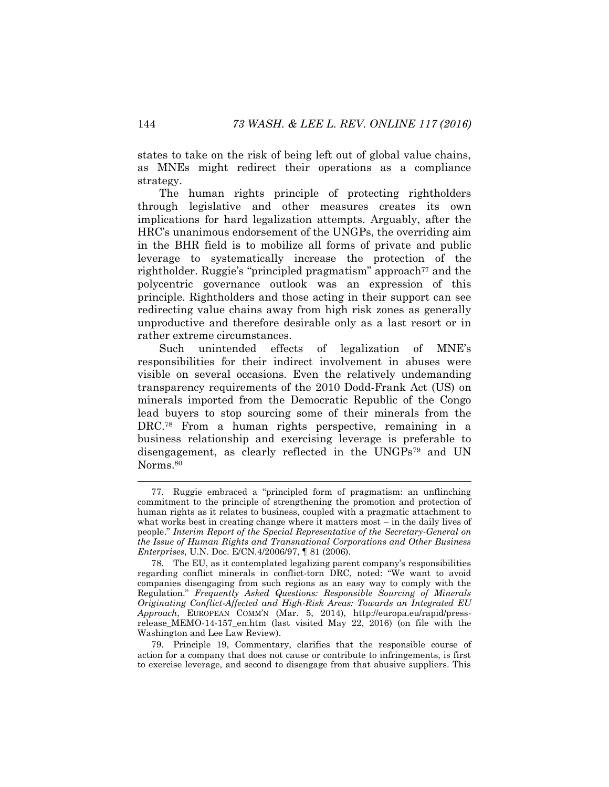states to take on the risk of being left out of global value chains, as MNEs might redirect their operations as a compliance strategy.

The human rights principle of protecting rightholders through legislative and other measures creates its own implications for hard legalization attempts. Arguably, after the HRC's unanimous endorsement of the UNGPs, the overriding aim in the BHR field is to mobilize all forms of private and public leverage to systematically increase the protection of the rightholder. Ruggie's "principled pragmatism" approach<sup>77</sup> and the polycentric governance outlook was an expression of this principle. Rightholders and those acting in their support can see redirecting value chains away from high risk zones as generally unproductive and therefore desirable only as a last resort or in rather extreme circumstances.

Such unintended effects of legalization of MNE's responsibilities for their indirect involvement in abuses were visible on several occasions. Even the relatively undemanding transparency requirements of the 2010 Dodd-Frank Act (US) on minerals imported from the Democratic Republic of the Congo lead buyers to stop sourcing some of their minerals from the DRC.<sup>78</sup> From a human rights perspective, remaining in a business relationship and exercising leverage is preferable to disengagement, as clearly reflected in the UNGPs<sup>79</sup> and UN Norms.<sup>80</sup>

79. Principle 19, Commentary, clarifies that the responsible course of action for a company that does not cause or contribute to infringements, is first to exercise leverage, and second to disengage from that abusive suppliers. This

<sup>77.</sup> Ruggie embraced a "principled form of pragmatism: an unflinching commitment to the principle of strengthening the promotion and protection of human rights as it relates to business, coupled with a pragmatic attachment to what works best in creating change where it matters most – in the daily lives of people." *Interim Report of the Special Representative of the Secretary-General on the Issue of Human Rights and Transnational Corporations and Other Business Enterprises*, U.N. Doc. E/CN.4/2006/97, ¶ 81 (2006).

<sup>78.</sup> The EU, as it contemplated legalizing parent company's responsibilities regarding conflict minerals in conflict-torn DRC, noted: "We want to avoid companies disengaging from such regions as an easy way to comply with the Regulation." *Frequently Asked Questions: Responsible Sourcing of Minerals Originating Conflict-Affected and High-Risk Areas: Towards an Integrated EU Approach*, EUROPEAN COMM'N (Mar. 5, 2014), http://europa.eu/rapid/pressrelease\_MEMO-14-157\_en.htm (last visited May 22, 2016) (on file with the Washington and Lee Law Review).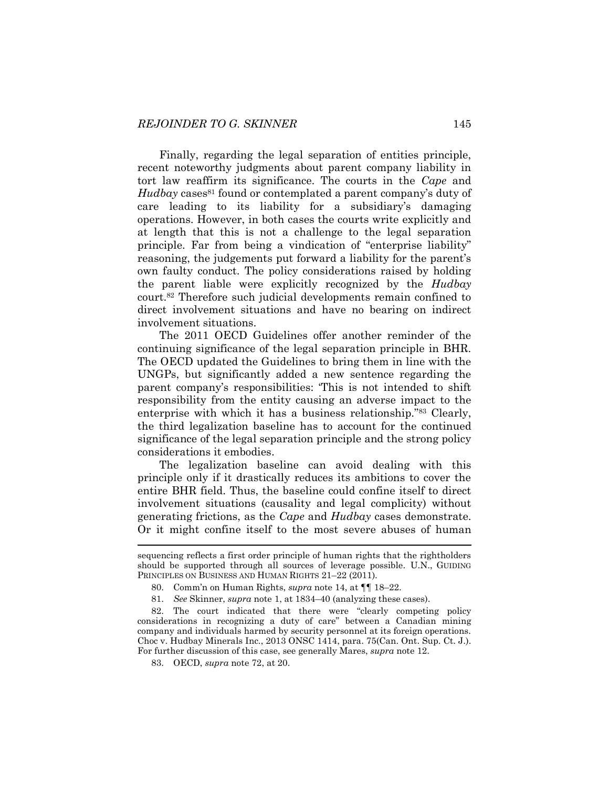Finally, regarding the legal separation of entities principle, recent noteworthy judgments about parent company liability in tort law reaffirm its significance. The courts in the *Cape* and *Hudbay* cases<sup>81</sup> found or contemplated a parent company's duty of care leading to its liability for a subsidiary's damaging operations. However, in both cases the courts write explicitly and at length that this is not a challenge to the legal separation principle. Far from being a vindication of "enterprise liability" reasoning, the judgements put forward a liability for the parent's own faulty conduct. The policy considerations raised by holding the parent liable were explicitly recognized by the *Hudbay* court.<sup>82</sup> Therefore such judicial developments remain confined to direct involvement situations and have no bearing on indirect involvement situations.

The 2011 OECD Guidelines offer another reminder of the continuing significance of the legal separation principle in BHR. The OECD updated the Guidelines to bring them in line with the UNGPs, but significantly added a new sentence regarding the parent company's responsibilities: 'This is not intended to shift responsibility from the entity causing an adverse impact to the enterprise with which it has a business relationship."<sup>83</sup> Clearly, the third legalization baseline has to account for the continued significance of the legal separation principle and the strong policy considerations it embodies.

The legalization baseline can avoid dealing with this principle only if it drastically reduces its ambitions to cover the entire BHR field. Thus, the baseline could confine itself to direct involvement situations (causality and legal complicity) without generating frictions, as the *Cape* and *Hudbay* cases demonstrate. Or it might confine itself to the most severe abuses of human

sequencing reflects a first order principle of human rights that the rightholders should be supported through all sources of leverage possible. U.N., GUIDING PRINCIPLES ON BUSINESS AND HUMAN RIGHTS 21-22 (2011).

<sup>80.</sup> Comm'n on Human Rights, *supra* note [14,](#page-5-2) at ¶¶ 18–22.

<sup>81.</sup> *See* Skinner, *supra* note [1,](#page-2-1) at 1834–40 (analyzing these cases).

<sup>82.</sup> The court indicated that there were "clearly competing policy considerations in recognizing a duty of care" between a Canadian mining company and individuals harmed by security personnel at its foreign operations. Choc v. Hudbay Minerals Inc., 2013 ONSC 1414, para. 75(Can. Ont. Sup. Ct. J.). For further discussion of this case, see generally Mares, *supra* note [12.](#page-4-0)

<sup>83.</sup> OECD, *supra* note [72,](#page-26-0) at 20.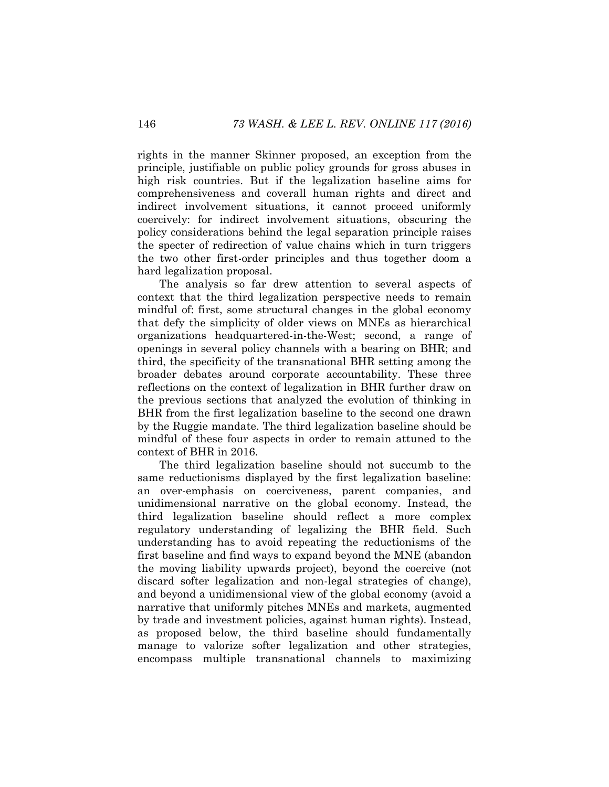rights in the manner Skinner proposed, an exception from the principle, justifiable on public policy grounds for gross abuses in high risk countries. But if the legalization baseline aims for comprehensiveness and coverall human rights and direct and indirect involvement situations, it cannot proceed uniformly coercively: for indirect involvement situations, obscuring the policy considerations behind the legal separation principle raises the specter of redirection of value chains which in turn triggers the two other first-order principles and thus together doom a hard legalization proposal.

The analysis so far drew attention to several aspects of context that the third legalization perspective needs to remain mindful of: first, some structural changes in the global economy that defy the simplicity of older views on MNEs as hierarchical organizations headquartered-in-the-West; second, a range of openings in several policy channels with a bearing on BHR; and third, the specificity of the transnational BHR setting among the broader debates around corporate accountability. These three reflections on the context of legalization in BHR further draw on the previous sections that analyzed the evolution of thinking in BHR from the first legalization baseline to the second one drawn by the Ruggie mandate. The third legalization baseline should be mindful of these four aspects in order to remain attuned to the context of BHR in 2016.

The third legalization baseline should not succumb to the same reductionisms displayed by the first legalization baseline: an over-emphasis on coerciveness, parent companies, and unidimensional narrative on the global economy. Instead, the third legalization baseline should reflect a more complex regulatory understanding of legalizing the BHR field. Such understanding has to avoid repeating the reductionisms of the first baseline and find ways to expand beyond the MNE (abandon the moving liability upwards project), beyond the coercive (not discard softer legalization and non-legal strategies of change), and beyond a unidimensional view of the global economy (avoid a narrative that uniformly pitches MNEs and markets, augmented by trade and investment policies, against human rights). Instead, as proposed below, the third baseline should fundamentally manage to valorize softer legalization and other strategies, encompass multiple transnational channels to maximizing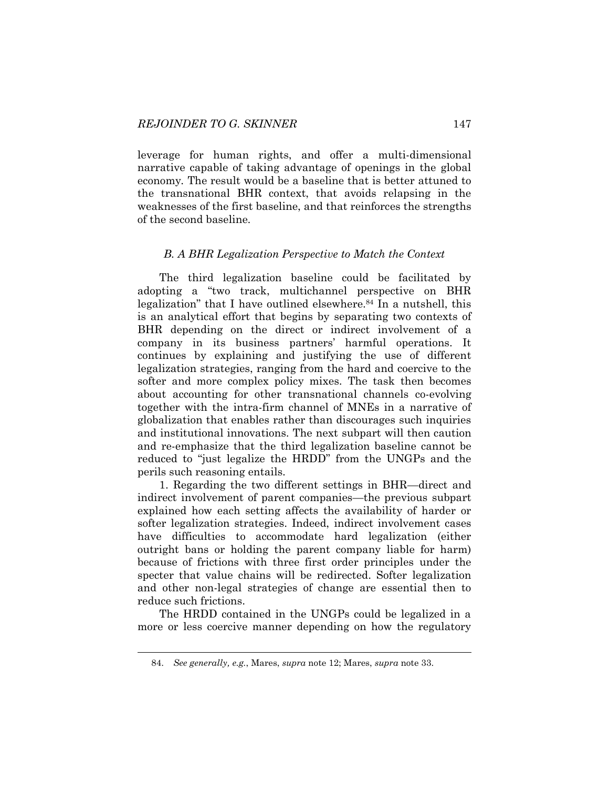leverage for human rights, and offer a multi-dimensional narrative capable of taking advantage of openings in the global economy*.* The result would be a baseline that is better attuned to the transnational BHR context, that avoids relapsing in the weaknesses of the first baseline, and that reinforces the strengths of the second baseline.

#### *B. A BHR Legalization Perspective to Match the Context*

The third legalization baseline could be facilitated by adopting a "two track, multichannel perspective on BHR legalization" that I have outlined elsewhere.<sup>84</sup> In a nutshell, this is an analytical effort that begins by separating two contexts of BHR depending on the direct or indirect involvement of a company in its business partners' harmful operations. It continues by explaining and justifying the use of different legalization strategies, ranging from the hard and coercive to the softer and more complex policy mixes. The task then becomes about accounting for other transnational channels co-evolving together with the intra-firm channel of MNEs in a narrative of globalization that enables rather than discourages such inquiries and institutional innovations. The next subpart will then caution and re-emphasize that the third legalization baseline cannot be reduced to "just legalize the HRDD" from the UNGPs and the perils such reasoning entails.

1. Regarding the two different settings in BHR—direct and indirect involvement of parent companies—the previous subpart explained how each setting affects the availability of harder or softer legalization strategies. Indeed, indirect involvement cases have difficulties to accommodate hard legalization (either outright bans or holding the parent company liable for harm) because of frictions with three first order principles under the specter that value chains will be redirected. Softer legalization and other non-legal strategies of change are essential then to reduce such frictions.

The HRDD contained in the UNGPs could be legalized in a more or less coercive manner depending on how the regulatory

<sup>84.</sup> *See generally, e.g.*, Mares, *supra* not[e 12;](#page-4-0) Mares, *supra* not[e 33.](#page-9-1)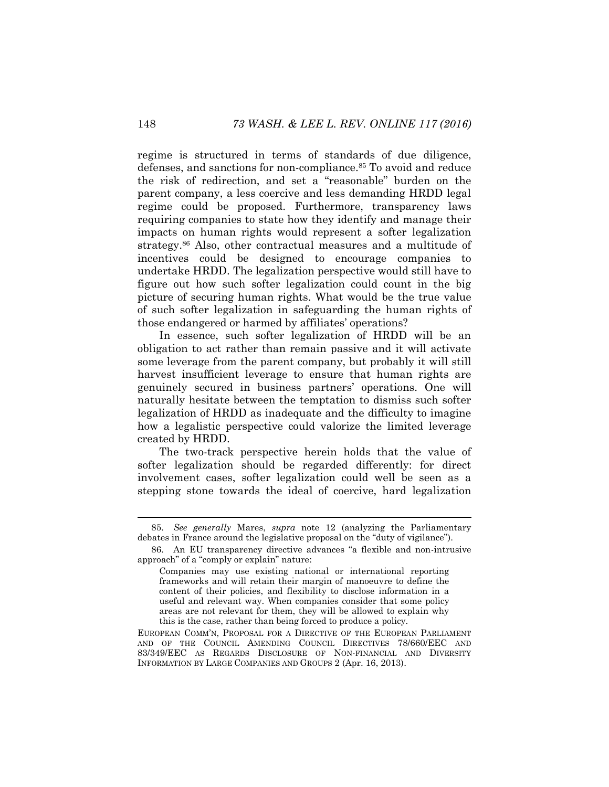regime is structured in terms of standards of due diligence, defenses, and sanctions for non-compliance.<sup>85</sup> To avoid and reduce the risk of redirection, and set a "reasonable" burden on the parent company, a less coercive and less demanding HRDD legal regime could be proposed. Furthermore, transparency laws requiring companies to state how they identify and manage their impacts on human rights would represent a softer legalization strategy.<sup>86</sup> Also, other contractual measures and a multitude of incentives could be designed to encourage companies to undertake HRDD. The legalization perspective would still have to figure out how such softer legalization could count in the big picture of securing human rights. What would be the true value of such softer legalization in safeguarding the human rights of those endangered or harmed by affiliates' operations?

In essence, such softer legalization of HRDD will be an obligation to act rather than remain passive and it will activate some leverage from the parent company, but probably it will still harvest insufficient leverage to ensure that human rights are genuinely secured in business partners' operations. One will naturally hesitate between the temptation to dismiss such softer legalization of HRDD as inadequate and the difficulty to imagine how a legalistic perspective could valorize the limited leverage created by HRDD.

The two-track perspective herein holds that the value of softer legalization should be regarded differently: for direct involvement cases, softer legalization could well be seen as a stepping stone towards the ideal of coercive, hard legalization

<sup>85.</sup> *See generally* Mares, *supra* note [12](#page-4-0) (analyzing the Parliamentary debates in France around the legislative proposal on the "duty of vigilance").

<sup>86.</sup> An EU transparency directive advances "a flexible and non-intrusive approach" of a "comply or explain" nature:

Companies may use existing national or international reporting frameworks and will retain their margin of manoeuvre to define the content of their policies, and flexibility to disclose information in a useful and relevant way. When companies consider that some policy areas are not relevant for them, they will be allowed to explain why this is the case, rather than being forced to produce a policy.

EUROPEAN COMM'N, PROPOSAL FOR A DIRECTIVE OF THE EUROPEAN PARLIAMENT AND OF THE COUNCIL AMENDING COUNCIL DIRECTIVES 78/660/EEC AND 83/349/EEC AS REGARDS DISCLOSURE OF NON-FINANCIAL AND DIVERSITY INFORMATION BY LARGE COMPANIES AND GROUPS 2 (Apr. 16, 2013).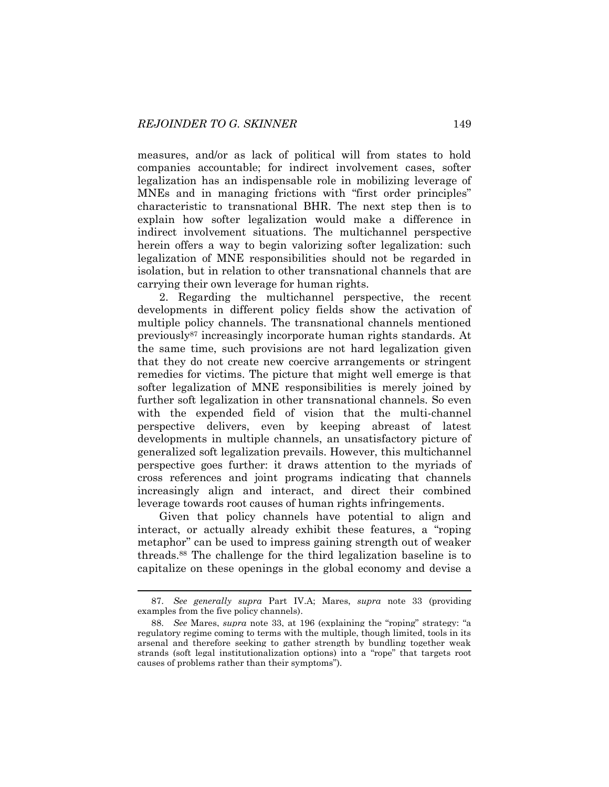measures, and/or as lack of political will from states to hold companies accountable; for indirect involvement cases, softer legalization has an indispensable role in mobilizing leverage of MNEs and in managing frictions with "first order principles" characteristic to transnational BHR. The next step then is to explain how softer legalization would make a difference in indirect involvement situations. The multichannel perspective herein offers a way to begin valorizing softer legalization: such legalization of MNE responsibilities should not be regarded in isolation, but in relation to other transnational channels that are carrying their own leverage for human rights.

2. Regarding the multichannel perspective, the recent developments in different policy fields show the activation of multiple policy channels. The transnational channels mentioned previously<sup>87</sup> increasingly incorporate human rights standards. At the same time, such provisions are not hard legalization given that they do not create new coercive arrangements or stringent remedies for victims. The picture that might well emerge is that softer legalization of MNE responsibilities is merely joined by further soft legalization in other transnational channels. So even with the expended field of vision that the multi-channel perspective delivers, even by keeping abreast of latest developments in multiple channels, an unsatisfactory picture of generalized soft legalization prevails. However, this multichannel perspective goes further: it draws attention to the myriads of cross references and joint programs indicating that channels increasingly align and interact, and direct their combined leverage towards root causes of human rights infringements.

Given that policy channels have potential to align and interact, or actually already exhibit these features, a "roping metaphor" can be used to impress gaining strength out of weaker threads.<sup>88</sup> The challenge for the third legalization baseline is to capitalize on these openings in the global economy and devise a

<sup>87.</sup> *See generally supra* Part IV.A; Mares, *supra* note [33](#page-9-1) (providing examples from the five policy channels).

<sup>88.</sup> *See* Mares, *supra* note [33](#page-9-1), at 196 (explaining the "roping" strategy: "a regulatory regime coming to terms with the multiple, though limited, tools in its arsenal and therefore seeking to gather strength by bundling together weak strands (soft legal institutionalization options) into a "rope" that targets root causes of problems rather than their symptoms").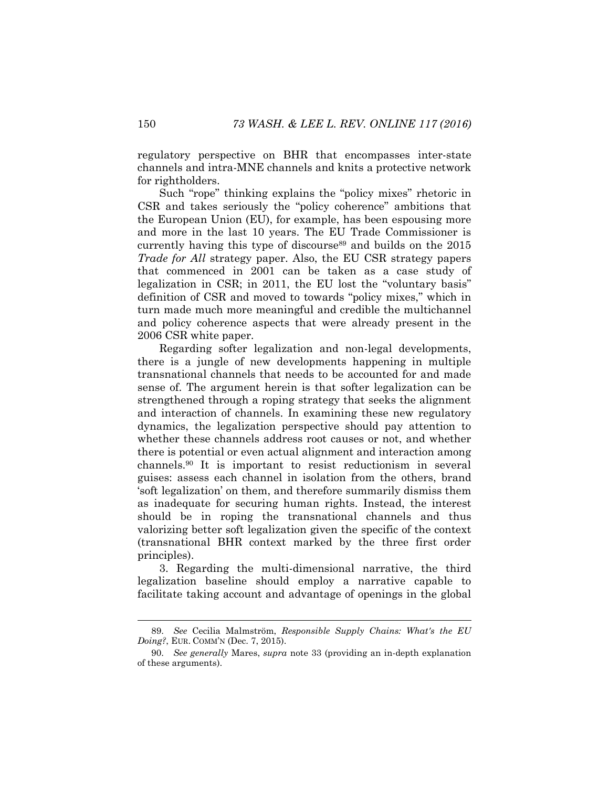regulatory perspective on BHR that encompasses inter-state channels and intra-MNE channels and knits a protective network for rightholders.

Such "rope" thinking explains the "policy mixes" rhetoric in CSR and takes seriously the "policy coherence" ambitions that the European Union (EU), for example, has been espousing more and more in the last 10 years. The EU Trade Commissioner is currently having this type of discourse<sup>89</sup> and builds on the 2015 *Trade for All* strategy paper. Also, the EU CSR strategy papers that commenced in 2001 can be taken as a case study of legalization in CSR; in 2011, the EU lost the "voluntary basis" definition of CSR and moved to towards "policy mixes," which in turn made much more meaningful and credible the multichannel and policy coherence aspects that were already present in the 2006 CSR white paper.

Regarding softer legalization and non-legal developments, there is a jungle of new developments happening in multiple transnational channels that needs to be accounted for and made sense of. The argument herein is that softer legalization can be strengthened through a roping strategy that seeks the alignment and interaction of channels. In examining these new regulatory dynamics, the legalization perspective should pay attention to whether these channels address root causes or not, and whether there is potential or even actual alignment and interaction among channels.<sup>90</sup> It is important to resist reductionism in several guises: assess each channel in isolation from the others, brand 'soft legalization' on them, and therefore summarily dismiss them as inadequate for securing human rights. Instead, the interest should be in roping the transnational channels and thus valorizing better soft legalization given the specific of the context (transnational BHR context marked by the three first order principles).

3. Regarding the multi-dimensional narrative, the third legalization baseline should employ a narrative capable to facilitate taking account and advantage of openings in the global

<sup>89.</sup> *See* Cecilia Malmström, *Responsible Supply Chains: What's the EU Doing?*, EUR. COMM'N (Dec. 7, 2015).

<sup>90.</sup> *See generally* Mares, *supra* note [33](#page-9-1) (providing an in-depth explanation of these arguments).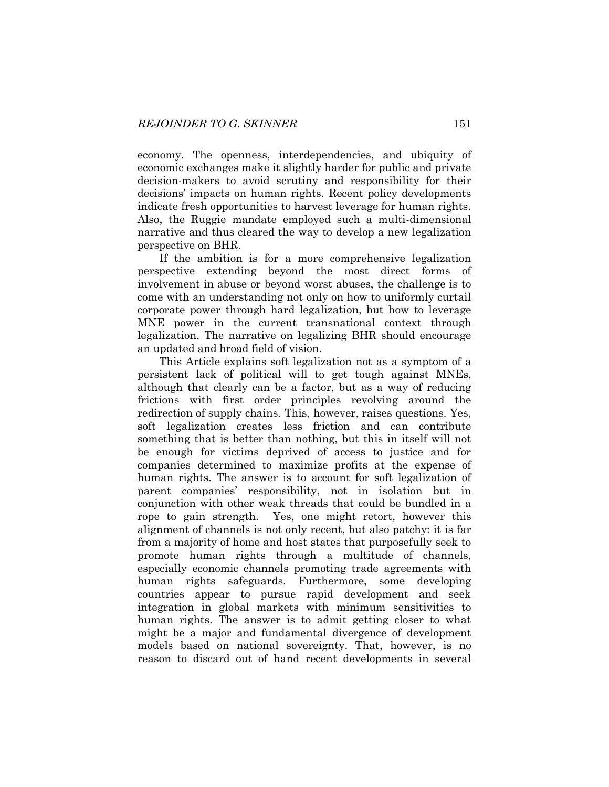economy. The openness, interdependencies, and ubiquity of economic exchanges make it slightly harder for public and private decision-makers to avoid scrutiny and responsibility for their decisions' impacts on human rights. Recent policy developments indicate fresh opportunities to harvest leverage for human rights. Also, the Ruggie mandate employed such a multi-dimensional narrative and thus cleared the way to develop a new legalization perspective on BHR.

If the ambition is for a more comprehensive legalization perspective extending beyond the most direct forms of involvement in abuse or beyond worst abuses, the challenge is to come with an understanding not only on how to uniformly curtail corporate power through hard legalization, but how to leverage MNE power in the current transnational context through legalization. The narrative on legalizing BHR should encourage an updated and broad field of vision.

This Article explains soft legalization not as a symptom of a persistent lack of political will to get tough against MNEs, although that clearly can be a factor, but as a way of reducing frictions with first order principles revolving around the redirection of supply chains. This, however, raises questions. Yes, soft legalization creates less friction and can contribute something that is better than nothing, but this in itself will not be enough for victims deprived of access to justice and for companies determined to maximize profits at the expense of human rights. The answer is to account for soft legalization of parent companies' responsibility, not in isolation but in conjunction with other weak threads that could be bundled in a rope to gain strength. Yes, one might retort, however this alignment of channels is not only recent, but also patchy: it is far from a majority of home and host states that purposefully seek to promote human rights through a multitude of channels, especially economic channels promoting trade agreements with human rights safeguards. Furthermore, some developing countries appear to pursue rapid development and seek integration in global markets with minimum sensitivities to human rights. The answer is to admit getting closer to what might be a major and fundamental divergence of development models based on national sovereignty. That, however, is no reason to discard out of hand recent developments in several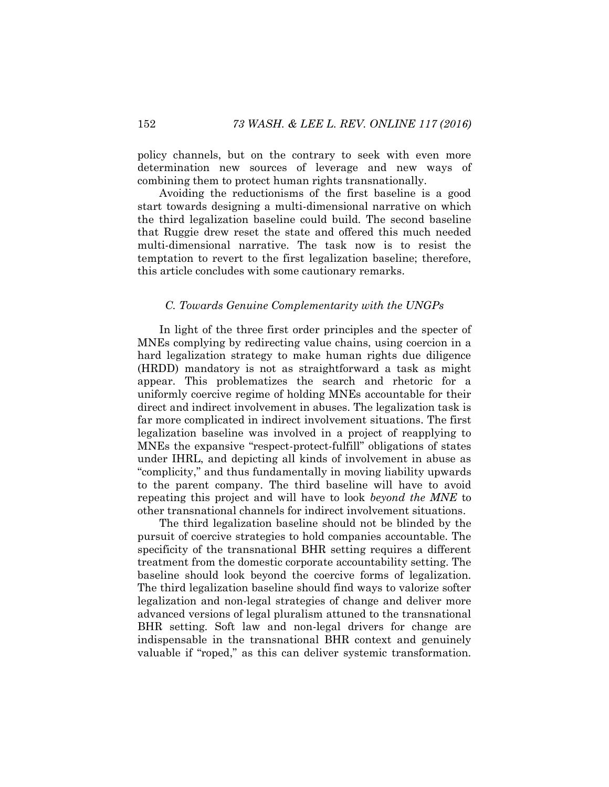policy channels, but on the contrary to seek with even more determination new sources of leverage and new ways of combining them to protect human rights transnationally.

Avoiding the reductionisms of the first baseline is a good start towards designing a multi-dimensional narrative on which the third legalization baseline could build. The second baseline that Ruggie drew reset the state and offered this much needed multi-dimensional narrative. The task now is to resist the temptation to revert to the first legalization baseline; therefore, this article concludes with some cautionary remarks.

#### *C. Towards Genuine Complementarity with the UNGPs*

In light of the three first order principles and the specter of MNEs complying by redirecting value chains, using coercion in a hard legalization strategy to make human rights due diligence (HRDD) mandatory is not as straightforward a task as might appear. This problematizes the search and rhetoric for a uniformly coercive regime of holding MNEs accountable for their direct and indirect involvement in abuses. The legalization task is far more complicated in indirect involvement situations. The first legalization baseline was involved in a project of reapplying to MNEs the expansive "respect-protect-fulfill" obligations of states under IHRL, and depicting all kinds of involvement in abuse as "complicity," and thus fundamentally in moving liability upwards to the parent company. The third baseline will have to avoid repeating this project and will have to look *beyond the MNE* to other transnational channels for indirect involvement situations.

The third legalization baseline should not be blinded by the pursuit of coercive strategies to hold companies accountable. The specificity of the transnational BHR setting requires a different treatment from the domestic corporate accountability setting. The baseline should look beyond the coercive forms of legalization. The third legalization baseline should find ways to valorize softer legalization and non-legal strategies of change and deliver more advanced versions of legal pluralism attuned to the transnational BHR setting. Soft law and non-legal drivers for change are indispensable in the transnational BHR context and genuinely valuable if "roped," as this can deliver systemic transformation.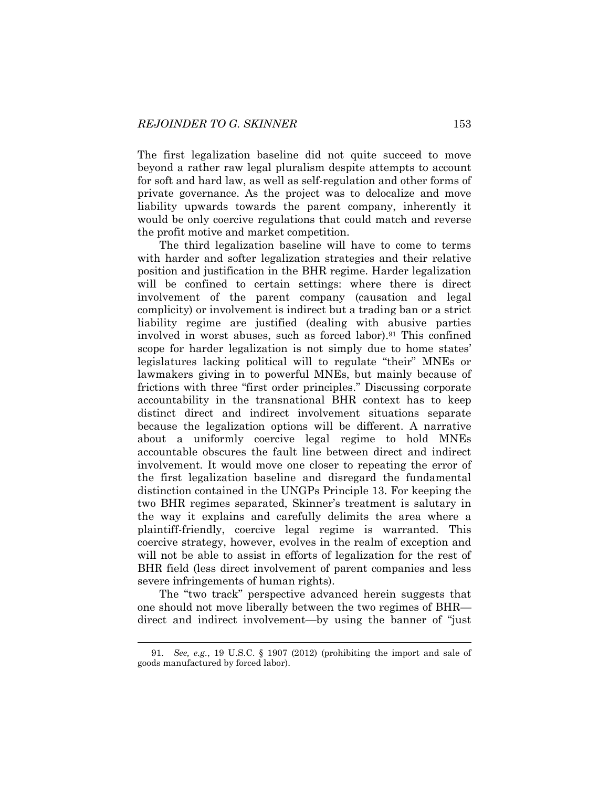The first legalization baseline did not quite succeed to move beyond a rather raw legal pluralism despite attempts to account for soft and hard law, as well as self-regulation and other forms of private governance. As the project was to delocalize and move liability upwards towards the parent company, inherently it would be only coercive regulations that could match and reverse the profit motive and market competition.

The third legalization baseline will have to come to terms with harder and softer legalization strategies and their relative position and justification in the BHR regime. Harder legalization will be confined to certain settings: where there is direct involvement of the parent company (causation and legal complicity) or involvement is indirect but a trading ban or a strict liability regime are justified (dealing with abusive parties involved in worst abuses, such as forced labor).<sup>91</sup> This confined scope for harder legalization is not simply due to home states' legislatures lacking political will to regulate "their" MNEs or lawmakers giving in to powerful MNEs, but mainly because of frictions with three "first order principles." Discussing corporate accountability in the transnational BHR context has to keep distinct direct and indirect involvement situations separate because the legalization options will be different. A narrative about a uniformly coercive legal regime to hold MNEs accountable obscures the fault line between direct and indirect involvement. It would move one closer to repeating the error of the first legalization baseline and disregard the fundamental distinction contained in the UNGPs Principle 13. For keeping the two BHR regimes separated, Skinner's treatment is salutary in the way it explains and carefully delimits the area where a plaintiff-friendly, coercive legal regime is warranted. This coercive strategy, however, evolves in the realm of exception and will not be able to assist in efforts of legalization for the rest of BHR field (less direct involvement of parent companies and less severe infringements of human rights).

The "two track" perspective advanced herein suggests that one should not move liberally between the two regimes of BHR direct and indirect involvement—by using the banner of "just

<sup>91.</sup> *See, e.g.*, 19 U.S.C. § 1907 (2012) (prohibiting the import and sale of goods manufactured by forced labor).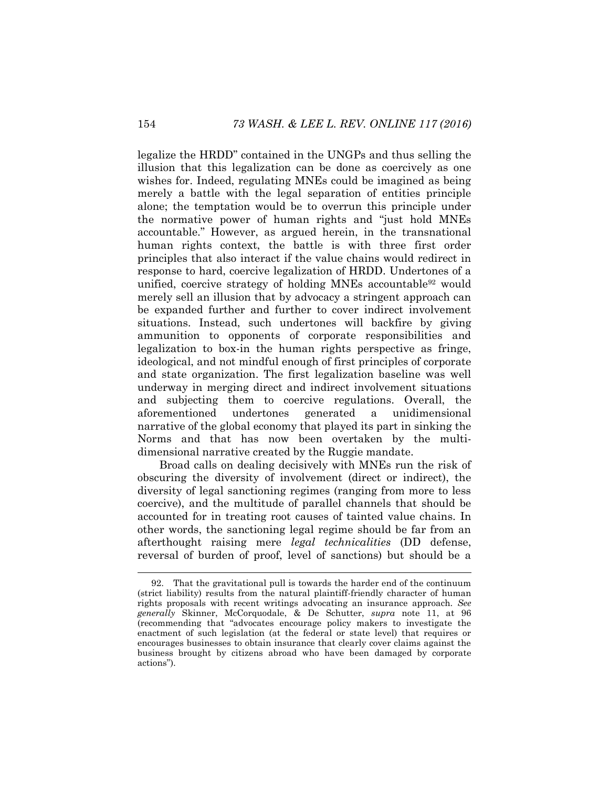legalize the HRDD" contained in the UNGPs and thus selling the illusion that this legalization can be done as coercively as one wishes for. Indeed, regulating MNEs could be imagined as being merely a battle with the legal separation of entities principle alone; the temptation would be to overrun this principle under the normative power of human rights and "just hold MNEs accountable." However, as argued herein, in the transnational human rights context, the battle is with three first order principles that also interact if the value chains would redirect in response to hard, coercive legalization of HRDD. Undertones of a unified, coercive strategy of holding MNEs accountable<sup>92</sup> would merely sell an illusion that by advocacy a stringent approach can be expanded further and further to cover indirect involvement situations. Instead, such undertones will backfire by giving ammunition to opponents of corporate responsibilities and legalization to box-in the human rights perspective as fringe, ideological, and not mindful enough of first principles of corporate and state organization. The first legalization baseline was well underway in merging direct and indirect involvement situations and subjecting them to coercive regulations. Overall, the aforementioned undertones generated a unidimensional narrative of the global economy that played its part in sinking the Norms and that has now been overtaken by the multidimensional narrative created by the Ruggie mandate.

Broad calls on dealing decisively with MNEs run the risk of obscuring the diversity of involvement (direct or indirect), the diversity of legal sanctioning regimes (ranging from more to less coercive), and the multitude of parallel channels that should be accounted for in treating root causes of tainted value chains. In other words, the sanctioning legal regime should be far from an afterthought raising mere *legal technicalities* (DD defense, reversal of burden of proof, level of sanctions) but should be a

<sup>92.</sup> That the gravitational pull is towards the harder end of the continuum (strict liability) results from the natural plaintiff-friendly character of human rights proposals with recent writings advocating an insurance approach. *See generally* Skinner, McCorquodale, & De Schutter, *supra* note [11,](#page-3-1) at 96 (recommending that "advocates encourage policy makers to investigate the enactment of such legislation (at the federal or state level) that requires or encourages businesses to obtain insurance that clearly cover claims against the business brought by citizens abroad who have been damaged by corporate actions").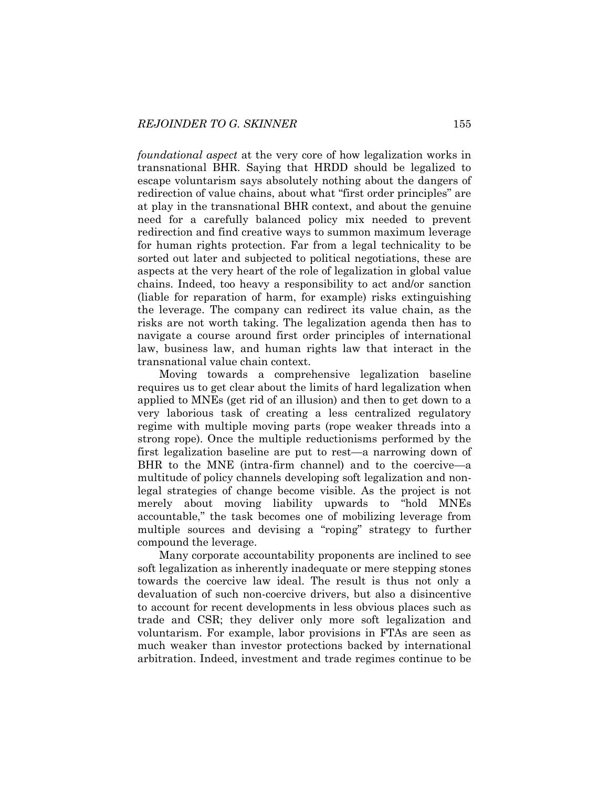*foundational aspect* at the very core of how legalization works in transnational BHR. Saying that HRDD should be legalized to escape voluntarism says absolutely nothing about the dangers of redirection of value chains, about what "first order principles" are at play in the transnational BHR context, and about the genuine need for a carefully balanced policy mix needed to prevent redirection and find creative ways to summon maximum leverage for human rights protection. Far from a legal technicality to be sorted out later and subjected to political negotiations, these are aspects at the very heart of the role of legalization in global value chains. Indeed, too heavy a responsibility to act and/or sanction (liable for reparation of harm, for example) risks extinguishing the leverage. The company can redirect its value chain, as the risks are not worth taking. The legalization agenda then has to navigate a course around first order principles of international law, business law, and human rights law that interact in the transnational value chain context.

Moving towards a comprehensive legalization baseline requires us to get clear about the limits of hard legalization when applied to MNEs (get rid of an illusion) and then to get down to a very laborious task of creating a less centralized regulatory regime with multiple moving parts (rope weaker threads into a strong rope). Once the multiple reductionisms performed by the first legalization baseline are put to rest—a narrowing down of BHR to the MNE (intra-firm channel) and to the coercive—a multitude of policy channels developing soft legalization and nonlegal strategies of change become visible. As the project is not merely about moving liability upwards to "hold MNEs accountable," the task becomes one of mobilizing leverage from multiple sources and devising a "roping" strategy to further compound the leverage.

Many corporate accountability proponents are inclined to see soft legalization as inherently inadequate or mere stepping stones towards the coercive law ideal. The result is thus not only a devaluation of such non-coercive drivers, but also a disincentive to account for recent developments in less obvious places such as trade and CSR; they deliver only more soft legalization and voluntarism. For example, labor provisions in FTAs are seen as much weaker than investor protections backed by international arbitration. Indeed, investment and trade regimes continue to be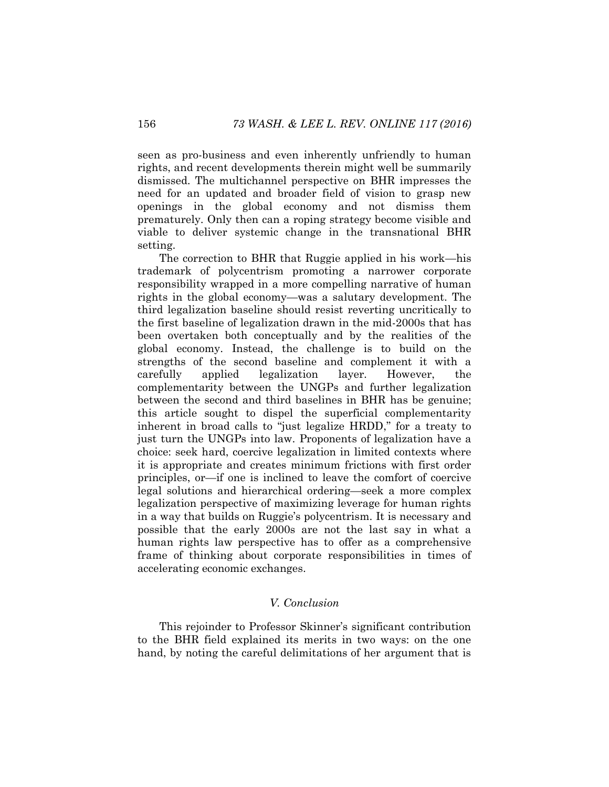seen as pro-business and even inherently unfriendly to human rights, and recent developments therein might well be summarily dismissed. The multichannel perspective on BHR impresses the need for an updated and broader field of vision to grasp new openings in the global economy and not dismiss them prematurely. Only then can a roping strategy become visible and viable to deliver systemic change in the transnational BHR setting.

The correction to BHR that Ruggie applied in his work—his trademark of polycentrism promoting a narrower corporate responsibility wrapped in a more compelling narrative of human rights in the global economy—was a salutary development. The third legalization baseline should resist reverting uncritically to the first baseline of legalization drawn in the mid-2000s that has been overtaken both conceptually and by the realities of the global economy. Instead, the challenge is to build on the strengths of the second baseline and complement it with a carefully applied legalization layer. However, the complementarity between the UNGPs and further legalization between the second and third baselines in BHR has be genuine; this article sought to dispel the superficial complementarity inherent in broad calls to "just legalize HRDD," for a treaty to just turn the UNGPs into law. Proponents of legalization have a choice: seek hard, coercive legalization in limited contexts where it is appropriate and creates minimum frictions with first order principles, or—if one is inclined to leave the comfort of coercive legal solutions and hierarchical ordering—seek a more complex legalization perspective of maximizing leverage for human rights in a way that builds on Ruggie's polycentrism. It is necessary and possible that the early 2000s are not the last say in what a human rights law perspective has to offer as a comprehensive frame of thinking about corporate responsibilities in times of accelerating economic exchanges.

#### *V. Conclusion*

This rejoinder to Professor Skinner's significant contribution to the BHR field explained its merits in two ways: on the one hand, by noting the careful delimitations of her argument that is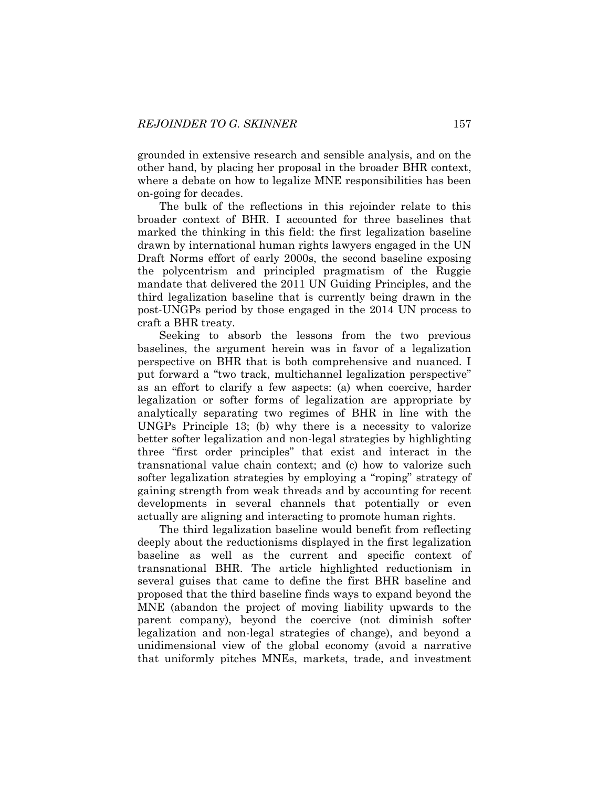grounded in extensive research and sensible analysis, and on the other hand, by placing her proposal in the broader BHR context, where a debate on how to legalize MNE responsibilities has been on-going for decades.

The bulk of the reflections in this rejoinder relate to this broader context of BHR. I accounted for three baselines that marked the thinking in this field: the first legalization baseline drawn by international human rights lawyers engaged in the UN Draft Norms effort of early 2000s, the second baseline exposing the polycentrism and principled pragmatism of the Ruggie mandate that delivered the 2011 UN Guiding Principles, and the third legalization baseline that is currently being drawn in the post-UNGPs period by those engaged in the 2014 UN process to craft a BHR treaty.

Seeking to absorb the lessons from the two previous baselines, the argument herein was in favor of a legalization perspective on BHR that is both comprehensive and nuanced. I put forward a "two track, multichannel legalization perspective" as an effort to clarify a few aspects: (a) when coercive, harder legalization or softer forms of legalization are appropriate by analytically separating two regimes of BHR in line with the UNGPs Principle 13; (b) why there is a necessity to valorize better softer legalization and non-legal strategies by highlighting three "first order principles" that exist and interact in the transnational value chain context; and (c) how to valorize such softer legalization strategies by employing a "roping" strategy of gaining strength from weak threads and by accounting for recent developments in several channels that potentially or even actually are aligning and interacting to promote human rights.

The third legalization baseline would benefit from reflecting deeply about the reductionisms displayed in the first legalization baseline as well as the current and specific context of transnational BHR. The article highlighted reductionism in several guises that came to define the first BHR baseline and proposed that the third baseline finds ways to expand beyond the MNE (abandon the project of moving liability upwards to the parent company), beyond the coercive (not diminish softer legalization and non-legal strategies of change), and beyond a unidimensional view of the global economy (avoid a narrative that uniformly pitches MNEs, markets, trade, and investment